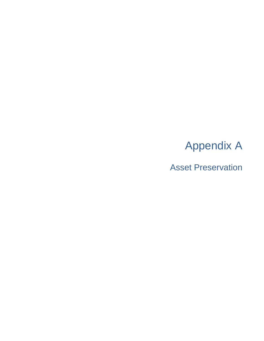# Appendix A

Asset Preservation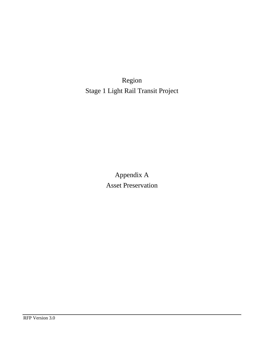Region Stage 1 Light Rail Transit Project

> Appendix A Asset Preservation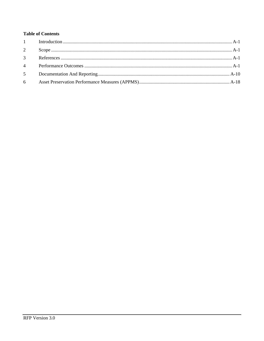# **Table of Contents**

| 2              |  |
|----------------|--|
| $\mathcal{E}$  |  |
| $\overline{4}$ |  |
| 5 <sup>5</sup> |  |
| 6              |  |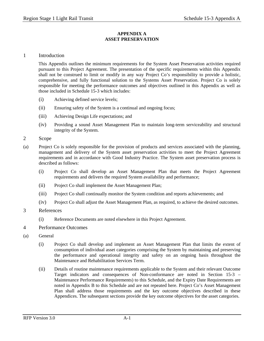#### **APPENDIX A ASSET PRESERVATION**

## 1 Introduction

This Appendix outlines the minimum requirements for the System Asset Preservation activities required pursuant to this Project Agreement. The presentation of the specific requirements within this Appendix shall not be construed to limit or modify in any way Project Co's responsibility to provide a holistic, comprehensive, and fully functional solution to the Systems Asset Preservation. Project Co is solely responsible for meeting the performance outcomes and objectives outlined in this Appendix as well as those included in Schedule 15-3 which includes:

- (i) Achieving defined service levels;
- (ii) Ensuring safety of the System is a continual and ongoing focus;
- (iii) Achieving Design Life expectations; and
- (iv) Providing a sound Asset Management Plan to maintain long-term serviceability and structural integrity of the System.
- 2 Scope
- (a) Project Co is solely responsible for the provision of products and services associated with the planning, management and delivery of the System asset preservation activities to meet the Project Agreement requirements and in accordance with Good Industry Practice. The System asset preservation process is described as follows:
	- (i) Project Co shall develop an Asset Management Plan that meets the Project Agreement requirements and delivers the required System availability and performance;
	- (ii) Project Co shall implement the Asset Management Plan;
	- (iii) Project Co shall continually monitor the System condition and reports achievements; and
	- (iv) Project Co shall adjust the Asset Management Plan, as required, to achieve the desired outcomes.
- 3 References
	- (i) Reference Documents are noted elsewhere in this Project Agreement.
- 4 Performance Outcomes
- (a) General
	- (i) Project Co shall develop and implement an Asset Management Plan that limits the extent of consumption of individual asset categories comprising the System by maintaining and preserving the performance and operational integrity and safety on an ongoing basis throughout the Maintenance and Rehabilitation Services Term.
	- (ii) Details of routine maintenance requirements applicable to the System and their relevant Outcome Target indicators and consequences of Non-conformance are noted in Section 15-3 – Maintenance Performance Requirements) to this Schedule, and the Expiry Date Requirements are noted in Appendix B to this Schedule and are not repeated here. Project Co's Asset Management Plan shall address those requirements and the key outcome objectives described in these Appendices. The subsequent sections provide the key outcome objectives for the asset categories.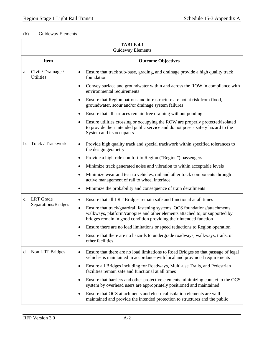# (b) Guideway Elements

|                | <b>TABLE 4.1</b><br><b>Guideway Elements</b> |                                                                                                                                                                                                                                               |  |
|----------------|----------------------------------------------|-----------------------------------------------------------------------------------------------------------------------------------------------------------------------------------------------------------------------------------------------|--|
|                | <b>Item</b>                                  | <b>Outcome Objectives</b>                                                                                                                                                                                                                     |  |
| a.             | Civil / Drainage /<br><b>Utilities</b>       | Ensure that track sub-base, grading, and drainage provide a high quality track<br>foundation                                                                                                                                                  |  |
|                |                                              | Convey surface and groundwater within and across the ROW in compliance with<br>environmental requirements                                                                                                                                     |  |
|                |                                              | Ensure that Region patrons and infrastructure are not at risk from flood,<br>$\bullet$<br>groundwater, scour and/or drainage system failures                                                                                                  |  |
|                |                                              | Ensure that all surfaces remain free draining without ponding<br>$\bullet$                                                                                                                                                                    |  |
|                |                                              | Ensure utilities crossing or occupying the ROW are properly protected/isolated<br>$\bullet$<br>to provide their intended public service and do not pose a safety hazard to the<br>System and its occupants                                    |  |
| b.             | Track / Trackwork                            | Provide high quality track and special trackwork within specified tolerances to<br>$\bullet$<br>the design geometry                                                                                                                           |  |
|                |                                              | Provide a high ride comfort to Region ("Region") passengers<br>٠                                                                                                                                                                              |  |
|                |                                              | Minimize track generated noise and vibration to within acceptable levels<br>$\bullet$                                                                                                                                                         |  |
|                |                                              | Minimize wear and tear to vehicles, rail and other track components through<br>$\bullet$<br>active management of rail to wheel interface                                                                                                      |  |
|                |                                              | Minimize the probability and consequence of train derailments<br>$\bullet$                                                                                                                                                                    |  |
| $\mathbf{c}$ . | <b>LRT</b> Grade                             | Ensure that all LRT Bridges remain safe and functional at all times<br>$\bullet$                                                                                                                                                              |  |
|                | Separations/Bridges                          | Ensure that track/guardrail fastening systems, OCS foundations/attachments,<br>$\bullet$<br>walkways, platform/canopies and other elements attached to, or supported by<br>bridges remain in good condition providing their intended function |  |
|                |                                              | Ensure there are no load limitations or speed reductions to Region operation<br>$\bullet$                                                                                                                                                     |  |
|                |                                              | Ensure that there are no hazards to undergrade roadways, walkways, trails, or<br>$\bullet$<br>other facilities                                                                                                                                |  |
|                | d. Non LRT Bridges                           | Ensure that there are no load limitations to Road Bridges so that passage of legal<br>$\bullet$<br>vehicles is maintained in accordance with local and provincial requirements                                                                |  |
|                |                                              | Ensure all Bridges including for Roadways, Multi-use Trails, and Pedestrian<br>$\bullet$<br>facilities remain safe and functional at all times                                                                                                |  |
|                |                                              | Ensure that barriers and other protective elements minimizing contact to the OCS<br>٠<br>system by overhead users are appropriately positioned and maintained                                                                                 |  |
|                |                                              | Ensure that OCS attachments and electrical isolation elements are well<br>$\bullet$<br>maintained and provide the intended protection to structures and the public                                                                            |  |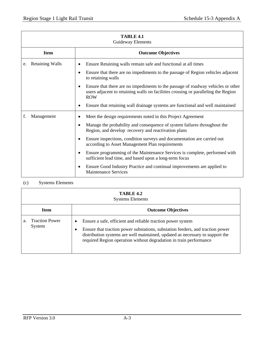| <b>TABLE 4.1</b><br>Guideway Elements |                                                                                                                                                                                           |  |
|---------------------------------------|-------------------------------------------------------------------------------------------------------------------------------------------------------------------------------------------|--|
| <b>Item</b>                           | <b>Outcome Objectives</b>                                                                                                                                                                 |  |
| <b>Retaining Walls</b><br>e.          | Ensure Retaining walls remain safe and functional at all times<br>Ensure that there are no impediments to the passage of Region vehicles adjacent<br>$\bullet$                            |  |
|                                       | to retaining walls                                                                                                                                                                        |  |
|                                       | Ensure that there are no impediments to the passage of roadway vehicles or other<br>٠<br>users adjacent to retaining walls on facilities crossing or paralleling the Region<br><b>ROW</b> |  |
|                                       | Ensure that retaining wall drainage systems are functional and well maintained                                                                                                            |  |
| f.<br>Management                      | Meet the design requirements noted in this Project Agreement                                                                                                                              |  |
|                                       | Manage the probability and consequence of system failures throughout the<br>$\bullet$<br>Region, and develop recovery and reactivation plans                                              |  |
|                                       | Ensure inspections, condition surveys and documentation are carried out<br>$\bullet$<br>according to Asset Management Plan requirements                                                   |  |
|                                       | Ensure programming of the Maintenance Services is complete, performed with<br>$\bullet$<br>sufficient lead time, and based upon a long-term focus                                         |  |
|                                       | Ensure Good Industry Practice and continual improvements are applied to<br>$\bullet$<br><b>Maintenance Services</b>                                                                       |  |

# (c) Systems Elements

|             | TABLE 4.2<br><b>Systems Elements</b> |                                                                                                                                                                                                                                                                                                                |  |
|-------------|--------------------------------------|----------------------------------------------------------------------------------------------------------------------------------------------------------------------------------------------------------------------------------------------------------------------------------------------------------------|--|
| <b>Item</b> |                                      | <b>Outcome Objectives</b>                                                                                                                                                                                                                                                                                      |  |
| a.          | <b>Traction Power</b><br>System      | Ensure a safe, efficient and reliable traction power system<br>٠<br>Ensure that traction power substations, substation feeders, and traction power<br>٠<br>distribution systems are well maintained, updated as necessary to support the<br>required Region operation without degradation in train performance |  |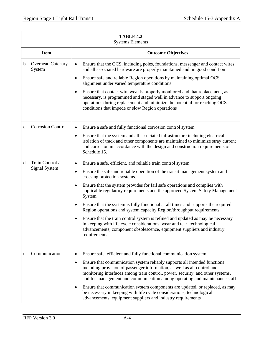|                | TABLE 4.2<br><b>Systems Elements</b>    |                                                                                                                                                                                                                                                                                                                                     |  |
|----------------|-----------------------------------------|-------------------------------------------------------------------------------------------------------------------------------------------------------------------------------------------------------------------------------------------------------------------------------------------------------------------------------------|--|
|                | <b>Item</b>                             | <b>Outcome Objectives</b>                                                                                                                                                                                                                                                                                                           |  |
| $\mathbf{b}$ . | <b>Overhead Catenary</b><br>System      | Ensure that the OCS, including poles, foundations, messenger and contact wires<br>$\bullet$<br>and all associated hardware are properly maintained and in good condition                                                                                                                                                            |  |
|                |                                         | Ensure safe and reliable Region operations by maintaining optimal OCS<br>$\bullet$<br>alignment under varied temperature conditions                                                                                                                                                                                                 |  |
|                |                                         | Ensure that contact wire wear is properly monitored and that replacement, as<br>necessary, is programmed and staged well in advance to support ongoing<br>operations during replacement and minimize the potential for reaching OCS<br>conditions that impede or slow Region operations                                             |  |
| $c_{\cdot}$    | <b>Corrosion Control</b>                | Ensure a safe and fully functional corrosion control system.<br>$\bullet$                                                                                                                                                                                                                                                           |  |
|                |                                         | Ensure that the system and all associated infrastructure including electrical<br>$\bullet$<br>isolation of track and other components are maintained to minimize stray current<br>and corrosion in accordance with the design and construction requirements of<br>Schedule 15.                                                      |  |
| d.             | Train Control /<br><b>Signal System</b> | Ensure a safe, efficient, and reliable train control system<br>$\bullet$                                                                                                                                                                                                                                                            |  |
|                |                                         | Ensure the safe and reliable operation of the transit management system and<br>٠<br>crossing protection systems.                                                                                                                                                                                                                    |  |
|                |                                         | Ensure that the system provides for fail safe operations and complies with<br>applicable regulatory requirements and the approved System Safety Management<br>System                                                                                                                                                                |  |
|                |                                         | Ensure that the system is fully functional at all times and supports the required<br>Region operations and system capacity Region/throughput requirements                                                                                                                                                                           |  |
|                |                                         | Ensure that the train control system is refined and updated as may be necessary<br>in keeping with life cycle considerations, wear and tear, technological<br>advancements, component obsolescence, equipment suppliers and industry<br>requirements                                                                                |  |
| e.             | Communications                          | Ensure safe, efficient and fully functional communication system<br>$\bullet$                                                                                                                                                                                                                                                       |  |
|                |                                         | Ensure that communication system reliably supports all intended functions<br>$\bullet$<br>including provision of passenger information, as well as all control and<br>monitoring interfaces among train control, power, security, and other systems,<br>and for management and communication among operating and maintenance staff. |  |
|                |                                         | Ensure that communication system components are updated, or replaced, as may<br>be necessary in keeping with life cycle considerations, technological<br>advancements, equipment suppliers and industry requirements                                                                                                                |  |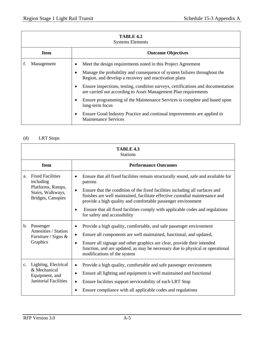|                                          | TABLE 4.2<br><b>Systems Elements</b> |   |                                                                                                                                                     |
|------------------------------------------|--------------------------------------|---|-----------------------------------------------------------------------------------------------------------------------------------------------------|
| <b>Item</b><br><b>Outcome Objectives</b> |                                      |   |                                                                                                                                                     |
|                                          | Management                           | ٠ | Meet the design requirements noted in this Project Agreement                                                                                        |
|                                          |                                      |   | Manage the probability and consequence of system failures throughout the<br>Region, and develop a recovery and reactivation plans                   |
|                                          |                                      |   | Ensure inspections, testing, condition surveys, certifications and documentation<br>are carried out according to Asset Management Plan requirements |
|                                          |                                      | ٠ | Ensure programming of the Maintenance Services is complete and based upon<br>long-term focus                                                        |
|                                          |                                      |   | Ensure Good Industry Practice and continual improvements are applied to<br><b>Maintenance Services</b>                                              |

# (d) LRT Stops

| TABLE 4.3<br><b>Stations</b>                                                                              |                                                                                                                                                                                                                                                                                                                                                                                                                                                                          |  |
|-----------------------------------------------------------------------------------------------------------|--------------------------------------------------------------------------------------------------------------------------------------------------------------------------------------------------------------------------------------------------------------------------------------------------------------------------------------------------------------------------------------------------------------------------------------------------------------------------|--|
| <b>Item</b>                                                                                               | <b>Performance Outcomes</b>                                                                                                                                                                                                                                                                                                                                                                                                                                              |  |
| <b>Fixed Facilities</b><br>a.<br>including<br>Platforms, Ramps,<br>Stairs, Walkways,<br>Bridges, Canopies | Ensure that all fixed facilities remain structurally sound, safe and available for<br>$\bullet$<br>patrons<br>Ensure that the condition of the fixed facilities including all surfaces and<br>$\bullet$<br>finishes are well maintained, facilitate effective custodial maintenance and<br>provide a high quality and comfortable passenger environment<br>Ensure that all fixed facilities comply with applicable codes and regulations<br>for safety and accessibility |  |
| Passenger<br>$\mathbf{b}$ .<br>Amenities / Station<br>Furniture / Signs &<br>Graphics                     | Provide a high quality, comfortable, and safe passenger environment<br>Ensure all components are well maintained, functional, and updated,<br>$\bullet$<br>Ensure all signage and other graphics are clear, provide their intended<br>$\bullet$<br>function, and are updated, as may be necessary due to physical or operational<br>modifications of the system                                                                                                          |  |
| Lighting, Electrical<br>$\mathbf{c}$ .<br>& Mechanical<br>Equipment, and<br><b>Janitorial Facilities</b>  | Provide a high quality, comfortable and safe passenger environment<br>$\bullet$<br>Ensure all lighting and equipment is well maintained and functional<br>Ensure facilities support serviceability of each LRT Stop<br>$\bullet$<br>Ensure compliance with all applicable codes and regulations                                                                                                                                                                          |  |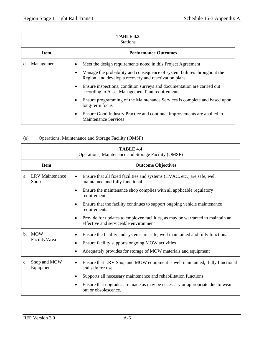| TABLE 4.3<br><b>Stations</b> |                                                                                                                                   |  |
|------------------------------|-----------------------------------------------------------------------------------------------------------------------------------|--|
| <b>Item</b>                  | <b>Performance Outcomes</b>                                                                                                       |  |
| Management<br>d.             | Meet the design requirements noted in this Project Agreement                                                                      |  |
|                              | Manage the probability and consequence of system failures throughout the<br>Region, and develop a recovery and reactivation plans |  |
|                              | Ensure inspections, condition surveys and documentation are carried out<br>according to Asset Management Plan requirements        |  |
|                              | Ensure programming of the Maintenance Services is complete and based upon<br>long-term focus                                      |  |
|                              | Ensure Good Industry Practice and continual improvements are applied to<br><b>Maintenance Services</b>                            |  |

# (e) Operations, Maintenance and Storage Facility (OMSF)

|                | <b>TABLE 4.4</b><br>Operations, Maintenance and Storage Facility (OMSF) |                                                                                                                                                                                                                                            |  |
|----------------|-------------------------------------------------------------------------|--------------------------------------------------------------------------------------------------------------------------------------------------------------------------------------------------------------------------------------------|--|
|                | <b>Item</b>                                                             | <b>Outcome Objectives</b>                                                                                                                                                                                                                  |  |
| a.             | <b>LRV</b> Maintenance<br>Shop                                          | Ensure that all fixed facilities and systems (HVAC, etc.) are safe, well<br>$\bullet$<br>maintained and fully functional                                                                                                                   |  |
|                |                                                                         | Ensure the maintenance shop complies with all applicable regulatory<br>$\bullet$<br>requirements                                                                                                                                           |  |
|                |                                                                         | Ensure that the facility continues to support ongoing vehicle maintenance<br>$\bullet$<br>requirements                                                                                                                                     |  |
|                |                                                                         | Provide for updates to employee facilities, as may be warranted to maintain an<br>$\bullet$<br>effective and serviceable environment                                                                                                       |  |
| $\mathbf{b}$ . | <b>MOW</b><br>Facility/Area                                             | Ensure the facility and systems are safe, well maintained and fully functional<br>$\bullet$<br>Ensure facility supports ongoing MOW activities<br>$\bullet$<br>Adequately provides for storage of MOW materials and equipment<br>$\bullet$ |  |
|                |                                                                         |                                                                                                                                                                                                                                            |  |
| c.             | Shop and MOW<br>Equipment                                               | Ensure that LRV Shop and MOW equipment is well maintained, fully functional<br>$\bullet$<br>and safe for use                                                                                                                               |  |
|                |                                                                         | Supports all necessary maintenance and rehabilitation functions<br>$\bullet$                                                                                                                                                               |  |
|                |                                                                         | Ensure that upgrades are made as may be necessary or appropriate due to wear<br>$\bullet$<br>out or obsolescence.                                                                                                                          |  |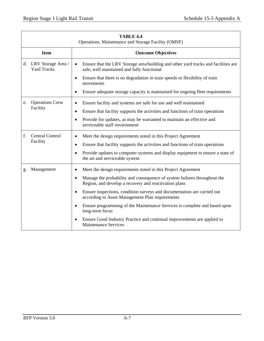|    | TABLE 4.4<br>Operations, Maintenance and Storage Facility (OMSF) |                                                                                                                                                                                                                                                                                                                                                                                                                                                                                                                                                                                               |  |
|----|------------------------------------------------------------------|-----------------------------------------------------------------------------------------------------------------------------------------------------------------------------------------------------------------------------------------------------------------------------------------------------------------------------------------------------------------------------------------------------------------------------------------------------------------------------------------------------------------------------------------------------------------------------------------------|--|
|    | <b>Item</b>                                                      | <b>Outcome Objectives</b>                                                                                                                                                                                                                                                                                                                                                                                                                                                                                                                                                                     |  |
|    | d. LRV Storage Area /<br><b>Yard Tracks</b>                      | Ensure that the LRV Storage area/building and other yard tracks and facilities are<br>$\bullet$<br>safe, well maintained and fully functional                                                                                                                                                                                                                                                                                                                                                                                                                                                 |  |
|    |                                                                  | Ensure that there is no degradation in train speeds or flexibility of train<br>movements                                                                                                                                                                                                                                                                                                                                                                                                                                                                                                      |  |
|    |                                                                  | Ensure adequate storage capacity is maintained for ongoing fleet requirements                                                                                                                                                                                                                                                                                                                                                                                                                                                                                                                 |  |
| e. | <b>Operations Crew</b><br>Facility                               | Ensure facility and systems are safe for use and well maintained<br>$\bullet$<br>Ensure that facility supports the activities and functions of train operations<br>Provide for updates, as may be warranted to maintain an effective and<br>$\bullet$<br>serviceable staff environment                                                                                                                                                                                                                                                                                                        |  |
| f. | <b>Central Control</b><br>Facility                               | Meet the design requirements noted in this Project Agreement<br>Ensure that facility supports the activities and functions of train operations<br>Provide updates to computer systems and display equipment to ensure a state of<br>$\bullet$<br>the art and serviceable system                                                                                                                                                                                                                                                                                                               |  |
| g. | Management                                                       | Meet the design requirements noted in this Project Agreement<br>$\bullet$<br>Manage the probability and consequence of system failures throughout the<br>$\bullet$<br>Region, and develop a recovery and reactivation plans<br>Ensure inspections, condition surveys and documentation are carried out<br>$\bullet$<br>according to Asset Management Plan requirements<br>Ensure programming of the Maintenance Services is complete and based upon<br>long-term focus<br>Ensure Good Industry Practice and continual improvements are applied to<br>$\bullet$<br><b>Maintenance Services</b> |  |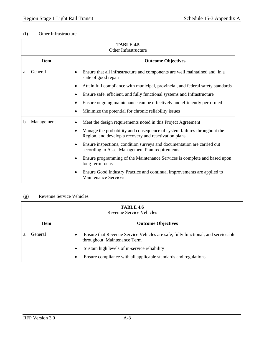# (f) Other Infrastructure

| <b>TABLE 4.5</b><br><b>Other Infrastructure</b> |                                                                                                                                                                                                                                                                                                                                                                                                                                                                                                                                                        |  |
|-------------------------------------------------|--------------------------------------------------------------------------------------------------------------------------------------------------------------------------------------------------------------------------------------------------------------------------------------------------------------------------------------------------------------------------------------------------------------------------------------------------------------------------------------------------------------------------------------------------------|--|
| <b>Item</b>                                     | <b>Outcome Objectives</b>                                                                                                                                                                                                                                                                                                                                                                                                                                                                                                                              |  |
| General<br>a.                                   | Ensure that all infrastructure and components are well maintained and in a<br>state of good repair<br>Attain full compliance with municipal, provincial, and federal safety standards<br>Ensure safe, efficient, and fully functional systems and Infrastructure<br>Ensure ongoing maintenance can be effectively and efficiently performed<br>$\bullet$<br>Minimize the potential for chronic reliability issues                                                                                                                                      |  |
| Management<br>b.                                | Meet the design requirements noted in this Project Agreement<br>Manage the probability and consequence of system failures throughout the<br>Region, and develop a recovery and reactivation plans<br>Ensure inspections, condition surveys and documentation are carried out<br>$\bullet$<br>according to Asset Management Plan requirements<br>Ensure programming of the Maintenance Services is complete and based upon<br>long-term focus<br>Ensure Good Industry Practice and continual improvements are applied to<br><b>Maintenance Services</b> |  |

# (g) Revenue Service Vehicles

| <b>TABLE 4.6</b><br>Revenue Service Vehicles |                                                                                                                      |  |
|----------------------------------------------|----------------------------------------------------------------------------------------------------------------------|--|
| <b>Item</b><br><b>Outcome Objectives</b>     |                                                                                                                      |  |
| General<br>a.                                | Ensure that Revenue Service Vehicles are safe, fully functional, and serviceable<br>٠<br>throughout Maintenance Term |  |
|                                              | Sustain high levels of in-service reliability<br>٠                                                                   |  |
|                                              | Ensure compliance with all applicable standards and regulations<br>٠                                                 |  |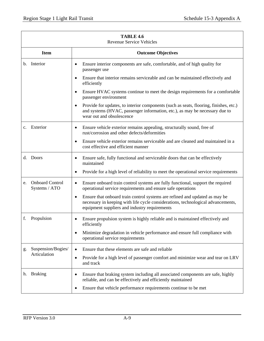| TABLE 4.6<br><b>Revenue Service Vehicles</b> |                                          |                                                                                                                                                                                                                               |  |  |
|----------------------------------------------|------------------------------------------|-------------------------------------------------------------------------------------------------------------------------------------------------------------------------------------------------------------------------------|--|--|
|                                              | <b>Outcome Objectives</b><br><b>Item</b> |                                                                                                                                                                                                                               |  |  |
| b.                                           | Interior                                 | Ensure interior components are safe, comfortable, and of high quality for<br>٠<br>passenger use                                                                                                                               |  |  |
|                                              |                                          | Ensure that interior remains serviceable and can be maintained effectively and<br>$\bullet$<br>efficiently                                                                                                                    |  |  |
|                                              |                                          | Ensure HVAC systems continue to meet the design requirements for a comfortable<br>$\bullet$<br>passenger environment                                                                                                          |  |  |
|                                              |                                          | Provide for updates, to interior components (such as seats, flooring, finishes, etc.)<br>٠<br>and systems (HVAC, passenger information, etc.), as may be necessary due to<br>wear out and obsolescence                        |  |  |
| $\mathbf{c}$ .                               | Exterior                                 | Ensure vehicle exterior remains appealing, structurally sound, free of<br>٠<br>rust/corrosion and other defects/deformities                                                                                                   |  |  |
|                                              |                                          | Ensure vehicle exterior remains serviceable and are cleaned and maintained in a<br>٠<br>cost effective and efficient manner                                                                                                   |  |  |
| d.                                           | Doors                                    | Ensure safe, fully functional and serviceable doors that can be effectively<br>$\bullet$<br>maintained                                                                                                                        |  |  |
|                                              |                                          | Provide for a high level of reliability to meet the operational service requirements<br>$\bullet$                                                                                                                             |  |  |
| e.                                           | <b>Onboard Control</b><br>Systems / ATO  | Ensure onboard train control systems are fully functional, support the required<br>$\bullet$<br>operational service requirements and ensure safe operations                                                                   |  |  |
|                                              |                                          | Ensure that onboard train control systems are refined and updated as may be<br>$\bullet$<br>necessary in keeping with life cycle considerations, technological advancements,<br>equipment suppliers and industry requirements |  |  |
| f.                                           | Propulsion                               | Ensure propulsion system is highly reliable and is maintained effectively and<br>٠<br>efficiently                                                                                                                             |  |  |
|                                              |                                          | Minimize degradation in vehicle performance and ensure full compliance with<br>٠<br>operational service requirements                                                                                                          |  |  |
| g.                                           | Suspension/Bogies/                       | Ensure that these elements are safe and reliable<br>$\bullet$                                                                                                                                                                 |  |  |
|                                              | Articulation                             | Provide for a high level of passenger comfort and minimize wear and tear on LRV<br>٠<br>and track                                                                                                                             |  |  |
| h.                                           | <b>Braking</b>                           | Ensure that braking system including all associated components are safe, highly<br>٠<br>reliable, and can be effectively and efficiently maintained                                                                           |  |  |
|                                              |                                          | Ensure that vehicle performance requirements continue to be met<br>٠                                                                                                                                                          |  |  |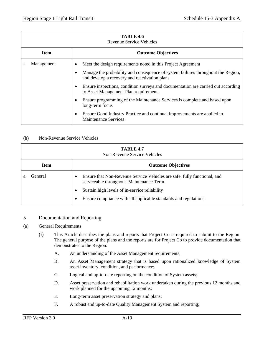|                                          | TABLE 4.6<br><b>Revenue Service Vehicles</b> |                                                                                                                                                |  |  |
|------------------------------------------|----------------------------------------------|------------------------------------------------------------------------------------------------------------------------------------------------|--|--|
| <b>Item</b><br><b>Outcome Objectives</b> |                                              |                                                                                                                                                |  |  |
|                                          | Management                                   | Meet the design requirements noted in this Project Agreement<br>$\bullet$                                                                      |  |  |
|                                          |                                              | Manage the probability and consequence of system failures throughout the Region,<br>$\bullet$<br>and develop a recovery and reactivation plans |  |  |
|                                          |                                              | Ensure inspections, condition surveys and documentation are carried out according<br>$\bullet$<br>to Asset Management Plan requirements        |  |  |
|                                          |                                              | Ensure programming of the Maintenance Services is complete and based upon<br>٠<br>long-term focus                                              |  |  |
|                                          |                                              | Ensure Good Industry Practice and continual improvements are applied to<br>٠<br><b>Maintenance Services</b>                                    |  |  |

# (h) Non-Revenue Service Vehicles

| TABLE 4.7<br><b>Non-Revenue Service Vehicles</b> |                                                                                                                          |  |
|--------------------------------------------------|--------------------------------------------------------------------------------------------------------------------------|--|
| <b>Outcome Objectives</b><br><b>Item</b>         |                                                                                                                          |  |
| General<br>a.                                    | Ensure that Non-Revenue Service Vehicles are safe, fully functional, and<br>٠<br>serviceable throughout Maintenance Term |  |
|                                                  | Sustain high levels of in-service reliability<br>$\bullet$                                                               |  |
|                                                  | Ensure compliance with all applicable standards and regulations<br>٠                                                     |  |

# 5 Documentation and Reporting

#### (a) General Requirements

- (i) This Article describes the plans and reports that Project Co is required to submit to the Region. The general purpose of the plans and the reports are for Project Co to provide documentation that demonstrates to the Region:
	- A. An understanding of the Asset Management requirements;
	- B. An Asset Management strategy that is based upon rationalized knowledge of System asset inventory, condition, and performance;
	- C. Logical and up-to-date reporting on the condition of System assets;
	- D. Asset preservation and rehabilitation work undertaken during the previous 12 months and work planned for the upcoming 12 months;
	- E. Long-term asset preservation strategy and plans;
	- F. A robust and up-to-date Quality Management System and reporting;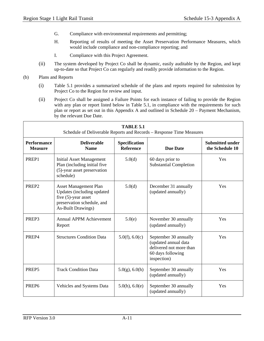- G. Compliance with environmental requirements and permitting;
- H. Reporting of results of meeting the Asset Preservation Performance Measures, which would include compliance and non-compliance reporting; and
- I. Compliance with this Project Agreement.
- (ii) The system developed by Project Co shall be dynamic, easily auditable by the Region, and kept up-to-date so that Project Co can regularly and readily provide information to the Region.
- (b) Plans and Reports
	- (i) Table 5.1 provides a summarized schedule of the plans and reports required for submission by Project Co to the Region for review and input.
	- (ii) Project Co shall be assigned a Failure Points for each instance of failing to provide the Region with any plan or report listed below in Table 5.1, in compliance with the requirements for such plan or report as set out in this Appendix A and outlined in Schedule 20 – Payment Mechanism, by the relevant Due Date.

| TABLE 5.1<br>Schedule of Deliverable Reports and Records – Response Time Measures |                                                                                                                                          |                                   |                                                                                                              |                                           |
|-----------------------------------------------------------------------------------|------------------------------------------------------------------------------------------------------------------------------------------|-----------------------------------|--------------------------------------------------------------------------------------------------------------|-------------------------------------------|
| <b>Performance</b><br><b>Measure</b>                                              | <b>Deliverable</b><br><b>Name</b>                                                                                                        | Specification<br><b>Reference</b> | <b>Due Date</b>                                                                                              | <b>Submitted under</b><br>the Schedule 10 |
| PREP <sub>1</sub>                                                                 | <b>Initial Asset Management</b><br>Plan (including initial five<br>(5)-year asset preservation<br>schedule)                              | 5.0(d)                            | 60 days prior to<br><b>Substantial Completion</b>                                                            | <b>Yes</b>                                |
| PREP <sub>2</sub>                                                                 | <b>Asset Management Plan</b><br>Updates (including updated<br>five $(5)$ -year asset<br>preservation schedule, and<br>As-Built Drawings) | 5.0(d)                            | December 31 annually<br>(updated annually)                                                                   | Yes                                       |
| PREP3                                                                             | <b>Annual APPM Achievement</b><br>Report                                                                                                 | 5.0(e)                            | November 30 annually<br>(updated annually)                                                                   | Yes                                       |
| PREP4                                                                             | <b>Structures Condition Data</b>                                                                                                         | 5.0(f), 6.0(c)                    | September 30 annually<br>(updated annual data<br>delivered not more than<br>60 days following<br>inspection) | <b>Yes</b>                                |
| PREP5                                                                             | <b>Track Condition Data</b>                                                                                                              | $5.0(g)$ , 6.0(h)                 | September 30 annually<br>(updated annually)                                                                  | Yes                                       |
| PREP6                                                                             | Vehicles and Systems Data                                                                                                                | $5.0(h)$ , $6.0(e)$               | September 30 annually<br>(updated annually)                                                                  | Yes                                       |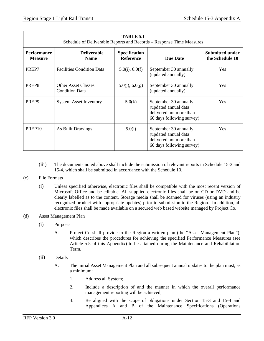| TABLE 5.1<br>Schedule of Deliverable Reports and Records – Response Time Measures |                                                     |                                          |                                                                                                       |                                           |
|-----------------------------------------------------------------------------------|-----------------------------------------------------|------------------------------------------|-------------------------------------------------------------------------------------------------------|-------------------------------------------|
| <b>Performance</b><br><b>Measure</b>                                              | <b>Deliverable</b><br><b>Name</b>                   | <b>Specification</b><br><b>Reference</b> | <b>Due Date</b>                                                                                       | <b>Submitted under</b><br>the Schedule 10 |
| PREP7                                                                             | <b>Facilities Condition Data</b>                    | $5.0(i)$ , $6.0(f)$                      | September 30 annually<br>(updated annually)                                                           | <b>Yes</b>                                |
| PREP8                                                                             | <b>Other Asset Classes</b><br><b>Condition Data</b> | 5.0(j), 6.0(g)                           | September 30 annually<br>(updated annually)                                                           | <b>Yes</b>                                |
| PREP <sub>9</sub>                                                                 | <b>System Asset Inventory</b>                       | 5.0(k)                                   | September 30 annually<br>(updated annual data<br>delivered not more than<br>60 days following survey) | <b>Yes</b>                                |
| PREP <sub>10</sub>                                                                | As Built Drawings                                   | 5.0(1)                                   | September 30 annually<br>(updated annual data<br>delivered not more than<br>60 days following survey) | <b>Yes</b>                                |

(iii) The documents noted above shall include the submission of relevant reports in Schedule 15-3 and 15-4, which shall be submitted in accordance with the Schedule 10.

## (c) File Formats

(i) Unless specified otherwise, electronic files shall be compatible with the most recent version of Microsoft Office and be editable. All supplied electronic files shall be on CD or DVD and be clearly labelled as to the content. Storage media shall be scanned for viruses (using an industry recognized product with appropriate updates) prior to submission to the Region. In addition, all electronic files shall be made available on a secured web based website managed by Project Co.

## (d) Asset Management Plan

- (i) Purpose
	- A. Project Co shall provide to the Region a written plan (the "Asset Management Plan"), which describes the procedures for achieving the specified Performance Measures (see Article 5.5 of this Appendix) to be attained during the Maintenance and Rehabilitation Term.
- (ii) Details
	- A. The initial Asset Management Plan and all subsequent annual updates to the plan must, as a minimum:
		- 1. Address all System;
		- 2. Include a description of and the manner in which the overall performance management reporting will be achieved;
		- 3. Be aligned with the scope of obligations under Section 15-3 and 15-4 and Appendices A and B of the Maintenance Specifications (Operations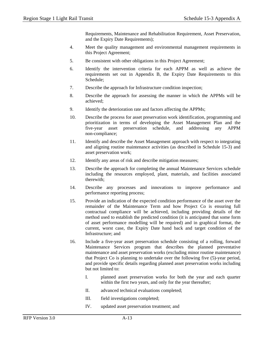Requirements, Maintenance and Rehabilitation Requirement, Asset Preservation, and the Expiry Date Requirements);

- 4. Meet the quality management and environmental management requirements in this Project Agreement;
- 5. Be consistent with other obligations in this Project Agreement;
- 6. Identify the intervention criteria for each APPM as well as achieve the requirements set out in Appendix B, the Expiry Date Requirements to this Schedule;
- 7. Describe the approach for Infrastructure condition inspection;
- 8. Describe the approach for assessing the manner in which the APPMs will be achieved;
- 9. Identify the deterioration rate and factors affecting the APPMs;
- 10. Describe the process for asset preservation work identification, programming and prioritization in terms of developing the Asset Management Plan and the five-year asset preservation schedule, and addressing any APPM non-compliance;
- 11. Identify and describe the Asset Management approach with respect to integrating and aligning routine maintenance activities (as described in Schedule 15-3) and asset preservation work;
- 12. Identify any areas of risk and describe mitigation measures;
- 13. Describe the approach for completing the annual Maintenance Services schedule including the resources employed, plant, materials, and facilities associated therewith;
- 14. Describe any processes and innovations to improve performance and performance reporting process;
- 15. Provide an indication of the expected condition performance of the asset over the remainder of the Maintenance Term and how Project Co is ensuring full contractual compliance will be achieved, including providing details of the method used to establish the predicted condition (it is anticipated that some form of asset performance modelling will be required) and in graphical format, the current, worst case, the Expiry Date hand back and target condition of the Infrastructure; and
- 16. Include a five-year asset preservation schedule consisting of a rolling, forward Maintenance Services program that describes the planned preventative maintenance and asset preservation works (excluding minor routine maintenance) that Project Co is planning to undertake over the following five (5)-year period, and provide specific details regarding planned asset preservation works including but not limited to:
	- I. planned asset preservation works for both the year and each quarter within the first two years, and only for the year thereafter;
	- II. advanced technical evaluations completed;
	- III. field investigations completed;
	- IV. updated asset preservation treatment; and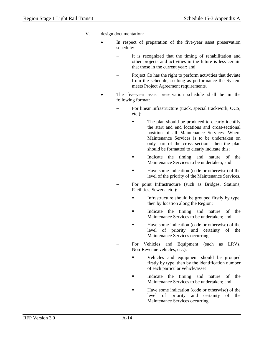- V. design documentation:
	- In respect of preparation of the five-year asset preservation schedule:
		- It is recognized that the timing of rehabilitation and other projects and activities in the future is less certain that those in the current year; and
		- Project Co has the right to perform activities that deviate from the schedule, so long as performance the System meets Project Agreement requirements.
	- The five-year asset preservation schedule shall be in the following format:
		- For linear Infrastructure (track, special trackwork, OCS, etc.):
			- The plan should be produced to clearly identify the start and end locations and cross-sectional position of all Maintenance Services. Where Maintenance Services is to be undertaken on only part of the cross section then the plan should be formatted to clearly indicate this;
			- Indicate the timing and nature of the Maintenance Services to be undertaken; and
			- Have some indication (code or otherwise) of the level of the priority of the Maintenance Services.
			- For point Infrastructure (such as Bridges, Stations, Facilities, Sewers, etc.):
				- Infrastructure should be grouped firstly by type, then by location along the Region;
				- Indicate the timing and nature of the Maintenance Services to be undertaken; and
				- Have some indication (code or otherwise) of the level of priority and certainty of the Maintenance Services occurring.
			- For Vehicles and Equipment (such as LRVs, Non-Revenue vehicles, etc.):
				- **•** Vehicles and equipment should be grouped firstly by type, then by the identification number of each particular vehicle/asset
				- Indicate the timing and nature of the Maintenance Services to be undertaken; and
				- Have some indication (code or otherwise) of the level of priority and certainty of the Maintenance Services occurring.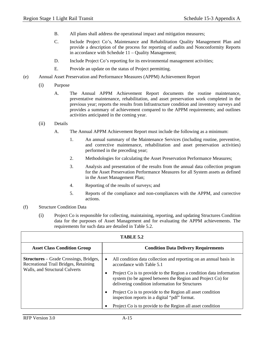- B. All plans shall address the operational impact and mitigation measures;
- C. Include Project Co's, Maintenance and Rehabilitation Quality Management Plan and provide a description of the process for reporting of audits and Nonconformity Reports in accordance with Schedule 11 – Quality Management;
- D. Include Project Co's reporting for its environmental management activities;
- E. Provide an update on the status of Project permitting.
- (e) Annual Asset Preservation and Performance Measures (APPM) Achievement Report
	- (i) Purpose
		- A. The Annual APPM Achievement Report documents the routine maintenance, preventative maintenance, rehabilitation, and asset preservation work completed in the previous year; reports the results from Infrastructure condition and inventory surveys and provides a summary of achievement compared to the APPM requirements; and outlines activities anticipated in the coming year.
	- (ii) Details
		- A. The Annual APPM Achievement Report must include the following as a minimum:
			- 1. An annual summary of the Maintenance Services (including routine, preventive, and corrective maintenance, rehabilitation and asset preservation activities) performed in the preceding year;
			- 2. Methodologies for calculating the Asset Preservation Performance Measures;
			- 3. Analysis and presentation of the results from the annual data collection program for the Asset Preservation Performance Measures for all System assets as defined in the Asset Management Plan;
			- 4. Reporting of the results of surveys; and
			- 5. Reports of the compliance and non-compliances with the APPM, and corrective actions.
- (f) Structure Condition Data
	- (i) Project Co is responsible for collecting, maintaining, reporting, and updating Structures Condition data for the purposes of Asset Management and for evaluating the APPM achievements. The requirements for such data are detailed in Table 5.2.

| TABLE 5.2                                                                                                                |                                                                                                                                                                                                                                                                                                      |  |
|--------------------------------------------------------------------------------------------------------------------------|------------------------------------------------------------------------------------------------------------------------------------------------------------------------------------------------------------------------------------------------------------------------------------------------------|--|
| <b>Asset Class Condition Group</b>                                                                                       | <b>Condition Data Delivery Requirements</b>                                                                                                                                                                                                                                                          |  |
| <b>Structures</b> – Grade Crossings, Bridges,<br>Recreational Trail Bridges, Retaining<br>Walls, and Structural Culverts | All condition data collection and reporting on an annual basis in<br>$\bullet$<br>accordance with Table 5.1<br>Project Co is to provide to the Region a condition data information<br>system (to be agreed between the Region and Project Co) for<br>delivering condition information for Structures |  |
|                                                                                                                          | Project Co is to provide to the Region all asset condition<br>inspection reports in a digital "pdf" format.                                                                                                                                                                                          |  |
|                                                                                                                          | Project Co is to provide to the Region all asset condition                                                                                                                                                                                                                                           |  |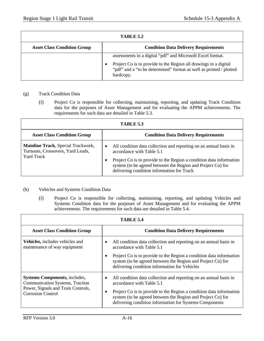| TABLE 5.2                          |                                                                                                                                                                                                                   |  |
|------------------------------------|-------------------------------------------------------------------------------------------------------------------------------------------------------------------------------------------------------------------|--|
| <b>Asset Class Condition Group</b> | <b>Condition Data Delivery Requirements</b>                                                                                                                                                                       |  |
|                                    | assessments in a digital "pdf" and Microsoft Excel format.<br>Project Co is to provide to the Region all drawings in a digital<br>"pdf" and a "to be determined" format as well as printed / plotted<br>hardcopy. |  |

#### (g) Track Condition Data

(i) Project Co is responsible for collecting, maintaining, reporting, and updating Track Condition data for the purposes of Asset Management and for evaluating the APPM achievements. The requirements for such data are detailed in Table 5.3.

| TABLE 5.3                                                                                    |                                                                                                                                                                                                                                                                                                 |  |
|----------------------------------------------------------------------------------------------|-------------------------------------------------------------------------------------------------------------------------------------------------------------------------------------------------------------------------------------------------------------------------------------------------|--|
| <b>Asset Class Condition Group</b>                                                           | <b>Condition Data Delivery Requirements</b>                                                                                                                                                                                                                                                     |  |
| Mainline Track, Special Trackwork,<br>Turnouts, Crossovers, Yard Leads,<br><b>Yard Track</b> | All condition data collection and reporting on an annual basis in<br>$\bullet$<br>accordance with Table 5.1<br>Project Co is to provide to the Region a condition data information<br>system (to be agreed between the Region and Project Co) for<br>delivering condition information for Track |  |

## (h) Vehicles and Systems Condition Data

(i) Project Co is responsible for collecting, maintaining, reporting, and updating Vehicles and Systems Condition data for the purposes of Asset Management and for evaluating the APPM achievements. The requirements for such data are detailed in Table 5.4.

| TABLE 5.4                                                                      |                                                                                                                                                                                               |  |
|--------------------------------------------------------------------------------|-----------------------------------------------------------------------------------------------------------------------------------------------------------------------------------------------|--|
| <b>Asset Class Condition Group</b>                                             | <b>Condition Data Delivery Requirements</b>                                                                                                                                                   |  |
| Vehicles, includes vehicles and<br>maintenance of way equipment                | All condition data collection and reporting on an annual basis in<br>accordance with Table 5.1                                                                                                |  |
|                                                                                | Project Co is to provide to the Region a condition data information<br>system (to be agreed between the Region and Project Co) for<br>delivering condition information for Vehicles           |  |
| <b>Systems Components, includes,</b><br><b>Communication Systems, Traction</b> | All condition data collection and reporting on an annual basis in<br>٠<br>accordance with Table 5.1                                                                                           |  |
| Power, Signals and Train Controls,<br><b>Corrosion Control</b>                 | Project Co is to provide to the Region a condition data information<br>system (to be agreed between the Region and Project Co) for<br>delivering condition information for Systems Components |  |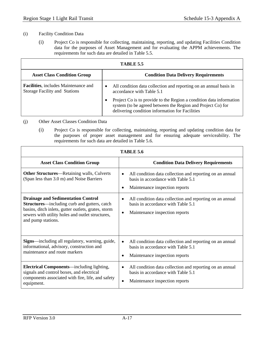## (i) Facility Condition Data

(i) Project Co is responsible for collecting, maintaining, reporting, and updating Facilities Condition data for the purposes of Asset Management and for evaluating the APPM achievements. The requirements for such data are detailed in Table 5.5.

| <b>TABLE 5.5</b>                                                             |                                                                                                                                                                                       |  |
|------------------------------------------------------------------------------|---------------------------------------------------------------------------------------------------------------------------------------------------------------------------------------|--|
| <b>Asset Class Condition Group</b>                                           | <b>Condition Data Delivery Requirements</b>                                                                                                                                           |  |
| Facilities, includes Maintenance and<br><b>Storage Facility and Stations</b> | All condition data collection and reporting on an annual basis in<br>$\bullet$<br>accordance with Table 5.1                                                                           |  |
|                                                                              | Project Co is to provide to the Region a condition data information<br>system (to be agreed between the Region and Project Co) for<br>delivering condition information for Facilities |  |

(j) Other Asset Classes Condition Data

(i) Project Co is responsible for collecting, maintaining, reporting and updating condition data for the purposes of proper asset management and for ensuring adequate serviceability. The requirements for such data are detailed in Table 5.6.

| <b>TABLE 5.6</b>                                                                                                                                                                                                                  |                                                                                                                                                            |  |
|-----------------------------------------------------------------------------------------------------------------------------------------------------------------------------------------------------------------------------------|------------------------------------------------------------------------------------------------------------------------------------------------------------|--|
| <b>Asset Class Condition Group</b>                                                                                                                                                                                                | <b>Condition Data Delivery Requirements</b>                                                                                                                |  |
| <b>Other Structures—Retaining walls, Culverts</b><br>(Span less than 3.0 m) and Noise Barriers                                                                                                                                    | All condition data collection and reporting on an annual<br>$\bullet$<br>basis in accordance with Table 5.1<br>Maintenance inspection reports<br>$\bullet$ |  |
| <b>Drainage and Sedimentation Control</b><br><b>Structures—including curb and gutters, catch</b><br>basins, ditch inlets, gutter outlets, grates, storm<br>sewers with utility holes and outlet structures,<br>and pump stations. | All condition data collection and reporting on an annual<br>٠<br>basis in accordance with Table 5.1<br>Maintenance inspection reports<br>٠                 |  |
| <b>Signs</b> —including all regulatory, warning, guide,<br>informational, advisory, construction and<br>maintenance and route markers                                                                                             | All condition data collection and reporting on an annual<br>$\bullet$<br>basis in accordance with Table 5.1<br>Maintenance inspection reports<br>$\bullet$ |  |
| <b>Electrical Components</b> —including lighting,<br>signals and control boxes, and electrical<br>components associated with fire, life, and safety<br>equipment.                                                                 | All condition data collection and reporting on an annual<br>٠<br>basis in accordance with Table 5.1<br>Maintenance inspection reports<br>$\bullet$         |  |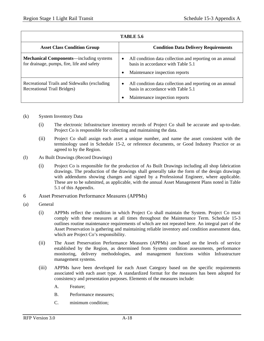| <b>TABLE 5.6</b>                                                                             |                                                                                                                                               |  |
|----------------------------------------------------------------------------------------------|-----------------------------------------------------------------------------------------------------------------------------------------------|--|
| <b>Asset Class Condition Group</b>                                                           | <b>Condition Data Delivery Requirements</b>                                                                                                   |  |
| <b>Mechanical Components—including systems</b><br>for drainage, pumps, fire, life and safety | All condition data collection and reporting on an annual<br>$\bullet$<br>basis in accordance with Table 5.1<br>Maintenance inspection reports |  |
| Recreational Trails and Sidewalks (excluding<br><b>Recreational Trail Bridges)</b>           | All condition data collection and reporting on an annual<br>$\bullet$<br>basis in accordance with Table 5.1<br>Maintenance inspection reports |  |

## (k) System Inventory Data

- (i) The electronic Infrastructure inventory records of Project Co shall be accurate and up-to-date. Project Co is responsible for collecting and maintaining the data.
- (ii) Project Co shall assign each asset a unique number, and name the asset consistent with the terminology used in Schedule 15-2, or reference documents, or Good Industry Practice or as agreed to by the Region.
- (l) As Built Drawings (Record Drawings)
	- (i) Project Co is responsible for the production of As Built Drawings including all shop fabrication drawings. The production of the drawings shall generally take the form of the design drawings with addendums showing changes and signed by a Professional Engineer, where applicable. These are to be submitted, as applicable, with the annual Asset Management Plans noted in Table 5.1 of this Appendix.
- 6 Asset Preservation Performance Measures (APPMs)
- (a) General
	- (i) APPMs reflect the condition in which Project Co shall maintain the System. Project Co must comply with these measures at all times throughout the Maintenance Term. Schedule 15-3 outlines routine maintenance requirements of which are not repeated here. An integral part of the Asset Preservation is gathering and maintaining reliable inventory and condition assessment data, which are Project Co's responsibility.
	- (ii) The Asset Preservation Performance Measures (APPMs) are based on the levels of service established by the Region, as determined from System condition assessments, performance monitoring, delivery methodologies, and management functions within Infrastructure management systems.
	- (iii) APPMs have been developed for each Asset Category based on the specific requirements associated with each asset type. A standardized format for the measures has been adopted for consistency and presentation purposes. Elements of the measures include:
		- A. Feature;
		- B. Performance measures;
		- C. minimum condition;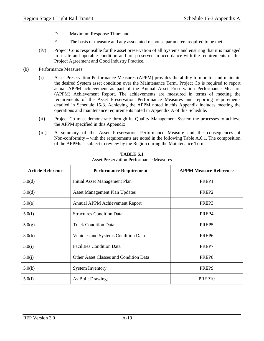- D. Maximum Response Time; and
- E. The basis of measure and any associated response parameters required to be met.
- (iv) Project Co is responsible for the asset preservation of all Systems and ensuring that it is managed in a safe and operable condition and are preserved in accordance with the requirements of this Project Agreement and Good Industry Practice.
- (b) Performance Measures
	- (i) Asset Preservation Performance Measures (APPM) provides the ability to monitor and maintain the desired System asset condition over the Maintenance Term. Project Co is required to report actual APPM achievement as part of the Annual Asset Preservation Performance Measure (APPM) Achievement Report. The achievements are measured in terms of meeting the requirements of the Asset Preservation Performance Measures and reporting requirements detailed in Schedule 15-3. Achieving the APPM noted in this Appendix includes meeting the operations and maintenance requirements noted in Appendix A of this Schedule.
	- (ii) Project Co must demonstrate through its Quality Management System the processes to achieve the APPM specified in this Appendix.
	- (iii) A summary of the Asset Preservation Performance Measure and the consequences of Non-conformity – with the requirements are noted in the following Table A.6.1. The composition of the APPMs is subject to review by the Region during the Maintenance Term.

| TABLE 6.1<br><b>Asset Preservation Performance Measures</b> |                                               |                               |  |  |  |
|-------------------------------------------------------------|-----------------------------------------------|-------------------------------|--|--|--|
| <b>Article Reference</b>                                    | <b>Performance Requirement</b>                | <b>APPM Measure Reference</b> |  |  |  |
| 5.0(d)                                                      | <b>Initial Asset Management Plan</b>          | PREP1                         |  |  |  |
| 5.0(d)                                                      | <b>Asset Management Plan Updates</b>          | PREP <sub>2</sub>             |  |  |  |
| 5.0(e)                                                      | Annual APPM Achievement Report                | PREP3                         |  |  |  |
| 5.0(f)                                                      | <b>Structures Condition Data</b>              | PREP4                         |  |  |  |
| 5.0(g)                                                      | <b>Track Condition Data</b>                   | PREP <sub>5</sub>             |  |  |  |
| 5.0(h)                                                      | Vehicles and Systems Condition Data           | PREP <sub>6</sub>             |  |  |  |
| 5.0(i)                                                      | <b>Facilities Condition Data</b>              | PREP7                         |  |  |  |
| 5.0(j)                                                      | <b>Other Asset Classes and Condition Data</b> | PREP8                         |  |  |  |
| 5.0(k)                                                      | <b>System Inventory</b>                       | PREP9                         |  |  |  |
| 5.0(1)                                                      | As Built Drawings                             | PREP <sub>10</sub>            |  |  |  |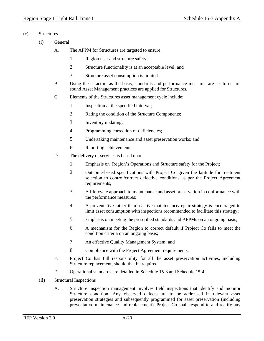- (c) Structures
	- (i) General
		- A. The APPM for Structures are targeted to ensure:
			- 1. Region user and structure safety;
			- 2. Structure functionality is at an acceptable level; and
			- 3. Structure asset consumption is limited.
		- B. Using these factors as the basis, standards and performance measures are set to ensure sound Asset Management practices are applied for Structures.
		- C. Elements of the Structures asset management cycle include:
			- 1. Inspection at the specified interval;
			- 2. Rating the condition of the Structure Components;
			- 3. Inventory updating;
			- 4. Programming correction of deficiencies;
			- 5. Undertaking maintenance and asset preservation works; and
			- 6. Reporting achievements.
		- D. The delivery of services is based upon:
			- 1. Emphasis on Region's Operations and Structure safety for the Project;
			- 2. Outcome-based specifications with Project Co given the latitude for treatment selection to control/correct defective conditions as per the Project Agreement requirements;
			- 3. A life-cycle approach to maintenance and asset preservation in conformance with the performance measures;
			- 4. A preventative rather than reactive maintenance/repair strategy is encouraged to limit asset consumption with inspections recommended to facilitate this strategy;
			- 5. Emphasis on meeting the prescribed standards and APPMs on an ongoing basis;
			- 6. A mechanism for the Region to correct default if Project Co fails to meet the condition criteria on an ongoing basis;
			- 7. An effective Quality Management System; and
			- 8. Compliance with the Project Agreement requirements.
		- E. Project Co has full responsibility for all the asset preservation activities, including Structure replacement, should that be required.
		- F. Operational standards are detailed in Schedule 15-3 and Schedule 15-4.
	- (ii) Structural Inspections
		- A. Structure inspection management involves field inspections that identify and monitor Structure condition. Any observed defects are to be addressed in relevant asset preservation strategies and subsequently programmed for asset preservation (including preventative maintenance and replacement). Project Co shall respond to and rectify any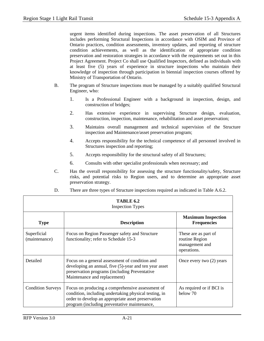urgent items identified during inspections. The asset preservation of all Structures includes performing Structural Inspections in accordance with OSIM and Province of Ontario practices, condition assessments, inventory updates, and reporting of structure condition achievements, as well as the identification of appropriate condition preservation and restoration strategies in accordance with the requirements set out in this Project Agreement. Project Co shall use Qualified Inspectors, defined as individuals with at least five (5) years of experience in structure inspections who maintain their knowledge of inspection through participation in biennial inspection courses offered by Ministry of Transportation of Ontario.

- B. The program of Structure inspections must be managed by a suitably qualified Structural Engineer, who:
	- 1. Is a Professional Engineer with a background in inspection, design, and construction of bridges;
	- 2. Has extensive experience in supervising Structure design, evaluation, construction, inspection, maintenance, rehabilitation and asset preservation;
	- 3. Maintains overall management and technical supervision of the Structure inspection and Maintenance/asset preservation program;
	- 4. Accepts responsibility for the technical competence of all personnel involved in Structures inspection and reporting;
	- 5. Accepts responsibility for the structural safety of all Structures;
	- 6. Consults with other specialist professionals when necessary; and
- C. Has the overall responsibility for assessing the structure functionality/safety, Structure risks, and potential risks to Region users, and to determine an appropriate asset preservation strategy.

| TABLE 6.2<br><b>Inspection Types</b> |                                                                                                                                                                                                                 |                                                                         |  |  |
|--------------------------------------|-----------------------------------------------------------------------------------------------------------------------------------------------------------------------------------------------------------------|-------------------------------------------------------------------------|--|--|
| <b>Type</b>                          | <b>Description</b>                                                                                                                                                                                              | <b>Maximum Inspection</b><br><b>Frequencies</b>                         |  |  |
| Superficial<br>(maintenance)         | Focus on Region Passenger safety and Structure<br>functionality; refer to Schedule 15-3                                                                                                                         | These are as part of<br>routine Region<br>management and<br>operations. |  |  |
| Detailed                             | Focus on a general assessment of condition and<br>developing an annual, five (5)-year and ten year asset<br>preservation programs (including Preventative<br>Maintenance and replacement)                       | Once every two $(2)$ years                                              |  |  |
| <b>Condition Surveys</b>             | Focus on producing a comprehensive assessment of<br>condition, including undertaking physical testing, in<br>order to develop an appropriate asset preservation<br>program (including preventative maintenance, | As required or if BCI is<br>below 70                                    |  |  |

D. There are three types of Structure inspections required as indicated in Table A.6.2.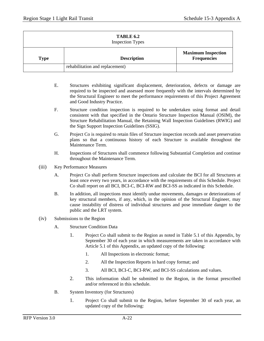| TABLE 6.2<br><b>Inspection Types</b> |                                 |                                                 |  |  |
|--------------------------------------|---------------------------------|-------------------------------------------------|--|--|
| Type                                 | <b>Description</b>              | <b>Maximum Inspection</b><br><b>Frequencies</b> |  |  |
|                                      | rehabilitation and replacement) |                                                 |  |  |

- E. Structures exhibiting significant displacement, deterioration, defects or damage are required to be inspected and assessed more frequently with the intervals determined by the Structural Engineer to meet the performance requirements of this Project Agreement and Good Industry Practice.
- F. Structure condition inspection is required to be undertaken using format and detail consistent with that specified in the Ontario Structure Inspection Manual (OSIM), the Structure Rehabilitation Manual, the Retaining Wall Inspection Guidelines (RWIG) and the Sign Support Inspection Guidelines (SSIG).
- G. Project Co is required to retain files of Structure inspection records and asset preservation plans so that a continuous history of each Structure is available throughout the Maintenance Term.
- H. Inspections of Structures shall commence following Substantial Completion and continue throughout the Maintenance Term.
- (iii) Key Performance Measures
	- A. Project Co shall perform Structure inspections and calculate the BCI for all Structures at least once every two years, in accordance with the requirements of this Schedule. Project Co shall report on all BCI, BCI-C, BCI-RW and BCI-SS as indicated in this Schedule.
	- B. In addition, all inspections must identify undue movements, damages or deteriorations of key structural members, if any, which, in the opinion of the Structural Engineer, may cause instability of distress of individual structures and pose immediate danger to the public and the LRT system.
- (iv) Submissions to the Region
	- A. Structure Condition Data
		- 1. Project Co shall submit to the Region as noted in Table 5.1 of this Appendix, by September 30 of each year in which measurements are taken in accordance with Article 5.1 of this Appendix, an updated copy of the following:
			- 1. All Inspections in electronic format;
			- 2. All the Inspection Reports in hard copy format; and
			- 3. All BCI, BCI-C, BCI-RW, and BCI-SS calculations and values.
		- 2. This information shall be submitted to the Region, in the format prescribed and/or referenced in this schedule.
	- B. System Inventory (for Structures)
		- 1. Project Co shall submit to the Region, before September 30 of each year, an updated copy of the following: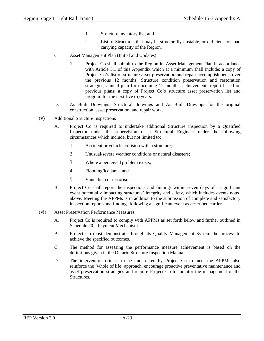- 1. Structure inventory list; and
- 2. List of Structures that may be structurally unstable, or deficient for load carrying capacity of the Region.
- C. Asset Management Plan (Initial and Updates)
	- 1. Project Co shall submit to the Region its Asset Management Plan in accordance with Article 5.1 of this Appendix which at a minimum shall include: a copy of Project Co's list of structure asset preservation and repair accomplishments over the previous 12 months; Structure condition preservation and restoration strategies; annual plan for upcoming 12 months; achievements report based on previous plans; a copy of Project Co's structure asset preservation list and program for the next five (5) years.
- D. As Built Drawings—Structural drawings and As Built Drawings for the original construction, asset preservation, and repair work.
- (v) Additional Structure Inspections
	- A. Project Co is required to undertake additional Structure inspection by a Qualified Inspector under the supervision of a Structural Engineer under the following circumstances which include, but not limited to:
		- 1. Accident or vehicle collision with a structure;
		- 2. Unusual/severe weather conditions or natural disasters;
		- 3. Where a perceived problem exists;
		- 4. Flooding/ice jams; and
		- 5. Vandalism or terrorism.
	- B. Project Co shall report the inspections and findings within seven days of a significant event potentially impacting structures' integrity and safety, which includes events noted above. Meeting the APPMs is in addition to the submission of complete and satisfactory inspection reports and findings following a significant event as described earlier.
- (vi) Asset Preservation Performance Measures
	- A. Project Co is required to comply with APPMs as set forth below and further outlined in Schedule 20 – Payment Mechanism.
	- B. Project Co must demonstrate through its Quality Management System the process to achieve the specified outcomes.
	- C. The method for assessing the performance measure achievement is based on the definitions given in the Ontario Structure Inspection Manual.
	- D. The intervention criteria to be undertaken by Project Co to meet the APPMs also reinforce the 'whole of life' approach, encourage proactive preventative maintenance and asset preservation strategies and require Project Co to monitor the management of the Structures.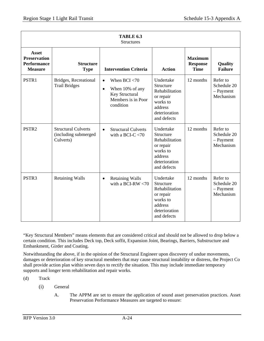|                                                                             | <b>TABLE 6.3</b><br><b>Structures</b>                           |                                                                                                                   |                                                                                                              |                                                  |                                                     |  |
|-----------------------------------------------------------------------------|-----------------------------------------------------------------|-------------------------------------------------------------------------------------------------------------------|--------------------------------------------------------------------------------------------------------------|--------------------------------------------------|-----------------------------------------------------|--|
| <b>Asset</b><br><b>Preservation</b><br><b>Performance</b><br><b>Measure</b> | <b>Structure</b><br><b>Type</b>                                 | <b>Intervention Criteria</b>                                                                                      | <b>Action</b>                                                                                                | <b>Maximum</b><br><b>Response</b><br><b>Time</b> | Quality<br><b>Failure</b>                           |  |
| PSTR1                                                                       | Bridges, Recreational<br><b>Trail Bridges</b>                   | When $BCI < 70$<br>$\bullet$<br>When 10% of any<br>$\bullet$<br>Key Structural<br>Members is in Poor<br>condition | Undertake<br>Structure<br>Rehabilitation<br>or repair<br>works to<br>address<br>deterioration<br>and defects | 12 months                                        | Refer to<br>Schedule 20<br>$-$ Payment<br>Mechanism |  |
| PSTR <sub>2</sub>                                                           | <b>Structural Culverts</b><br>(including submerged<br>Culverts) | <b>Structural Culverts</b><br>$\bullet$<br>with a BCI-C $<$ 70                                                    | Undertake<br>Structure<br>Rehabilitation<br>or repair<br>works to<br>address<br>deterioration<br>and defects | 12 months                                        | Refer to<br>Schedule 20<br>$-$ Payment<br>Mechanism |  |
| PSTR <sub>3</sub>                                                           | <b>Retaining Walls</b>                                          | <b>Retaining Walls</b><br>$\bullet$<br>with a BCI-RW $<$ 70                                                       | Undertake<br>Structure<br>Rehabilitation<br>or repair<br>works to<br>address<br>deterioration<br>and defects | 12 months                                        | Refer to<br>Schedule 20<br>$-$ Payment<br>Mechanism |  |

"Key Structural Members" means elements that are considered critical and should not be allowed to drop below a certain condition. This includes Deck top, Deck soffit, Expansion Joint, Bearings, Barriers, Substructure and Embankment, Girder and Coating.

Notwithstanding the above, if in the opinion of the Structural Engineer upon discovery of undue movements, damages or deterioration of key structural members that may cause structural instability or distress, the Project Co shall provide action plan within seven days to rectify the situation. This may include immediate temporary supports and longer term rehabilitation and repair works.

(d) Track

- (i) General
	- A. The APPM are set to ensure the application of sound asset preservation practices. Asset Preservation Performance Measures are targeted to ensure: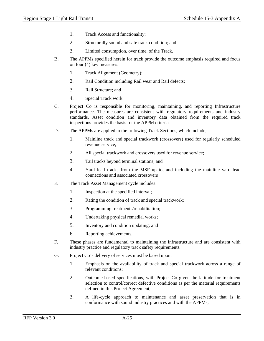- 1. Track Access and functionality;
- 2. Structurally sound and safe track condition; and
- 3. Limited consumption, over time, of the Track.
- B. The APPMs specified herein for track provide the outcome emphasis required and focus on four (4) key measures:
	- 1. Track Alignment (Geometry);
	- 2. Rail Condition including Rail wear and Rail defects;
	- 3. Rail Structure; and
	- 4. Special Track work.
- C. Project Co is responsible for monitoring, maintaining, and reporting Infrastructure performance. The measures are consistent with regulatory requirements and industry standards. Asset condition and inventory data obtained from the required track inspections provides the basis for the APPM criteria.
- D. The APPMs are applied to the following Track Sections, which include;
	- 1. Mainline track and special trackwork (crossovers) used for regularly scheduled revenue service;
	- 2. All special trackwork and crossovers used for revenue service;
	- 3. Tail tracks beyond terminal stations; and
	- 4. Yard lead tracks from the MSF up to, and including the mainline yard lead connections and associated crossovers
- E. The Track Asset Management cycle includes:
	- 1. Inspection at the specified interval;
	- 2. Rating the condition of track and special trackwork;
	- 3. Programming treatments/rehabilitation;
	- 4. Undertaking physical remedial works;
	- 5. Inventory and condition updating; and
	- 6. Reporting achievements.
- F. These phases are fundamental to maintaining the Infrastructure and are consistent with industry practice and regulatory track safety requirements.
- G. Project Co's delivery of services must be based upon:
	- 1. Emphasis on the availability of track and special trackwork across a range of relevant conditions;
	- 2. Outcome-based specifications, with Project Co given the latitude for treatment selection to control/correct defective conditions as per the material requirements defined in this Project Agreement;
	- 3. A life-cycle approach to maintenance and asset preservation that is in conformance with sound industry practices and with the APPMs;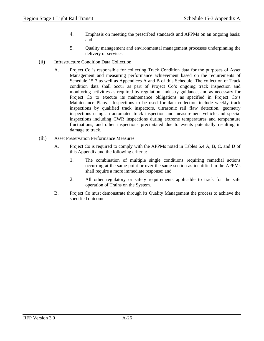- 4. Emphasis on meeting the prescribed standards and APPMs on an ongoing basis; and
- 5. Quality management and environmental management processes underpinning the delivery of services.
- (ii) Infrastructure Condition Data Collection
	- A. Project Co is responsible for collecting Track Condition data for the purposes of Asset Management and measuring performance achievement based on the requirements of Schedule 15-3 as well as Appendices A and B of this Schedule. The collection of Track condition data shall occur as part of Project Co's ongoing track inspection and monitoring activities as required by regulation, industry guidance, and as necessary for Project Co to execute its maintenance obligations as specified in Project Co's Maintenance Plans. Inspections to be used for data collection include weekly track inspections by qualified track inspectors, ultrasonic rail flaw detection, geometry inspections using an automated track inspection and measurement vehicle and special inspections including CWR inspections during extreme temperatures and temperature fluctuations; and other inspections precipitated due to events potentially resulting in damage to track.
- (iii) Asset Preservation Performance Measures
	- A. Project Co is required to comply with the APPMs noted in Tables 6.4 A, B, C, and D of this Appendix and the following criteria:
		- 1. The combination of multiple single conditions requiring remedial actions occurring at the same point or over the same section as identified in the APPMs shall require a more immediate response; and
		- 2. All other regulatory or safety requirements applicable to track for the safe operation of Trains on the System.
	- B. Project Co must demonstrate through its Quality Management the process to achieve the specified outcome.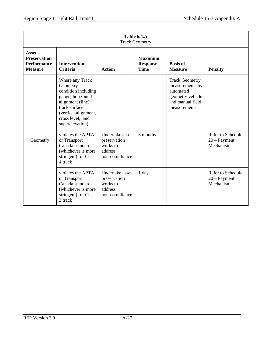| Table 6.4.A<br><b>Track Geometry</b>                                        |                                                                                                                                                                               |                                                                          |                                                  |                                                                                                               |                                                  |
|-----------------------------------------------------------------------------|-------------------------------------------------------------------------------------------------------------------------------------------------------------------------------|--------------------------------------------------------------------------|--------------------------------------------------|---------------------------------------------------------------------------------------------------------------|--------------------------------------------------|
| <b>Asset</b><br><b>Preservation</b><br><b>Performance</b><br><b>Measure</b> | <b>Intervention</b><br><b>Criteria</b>                                                                                                                                        | <b>Action</b>                                                            | <b>Maximum</b><br><b>Response</b><br><b>Time</b> | <b>Basis of</b><br><b>Measure</b>                                                                             | <b>Penalty</b>                                   |
|                                                                             | Where any Track<br>Geometry<br>condition including<br>gauge, horizontal<br>alignment (line),<br>track surface<br>(vertical alignment,<br>cross level, and<br>superelevation): |                                                                          |                                                  | <b>Track Geometry</b><br>measurements by<br>automated<br>geometry vehicle<br>and manual field<br>measurements |                                                  |
| Geometry                                                                    | violates the APTA<br>or Transport<br>Canada standards<br>(whichever is more<br>stringent) for Class<br>4 track                                                                | Undertake asset<br>preservation<br>works to<br>address<br>non-compliance | 3 months                                         |                                                                                                               | Refer to Schedule<br>$20 - Payment$<br>Mechanism |
|                                                                             | violates the APTA<br>or Transport<br>Canada standards<br>(whichever is more<br>stringent) for Class<br>3 track                                                                | Undertake asset<br>preservation<br>works to<br>address<br>non-compliance | $1$ day                                          |                                                                                                               | Refer to Schedule<br>$20 - Payment$<br>Mechanism |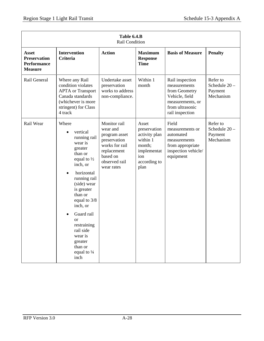|                                                                      | Table 6.4.B<br>Rail Condition                                                                                                                                                                                                                                                                                                        |                                                                                                                                       |                                                                                                            |                                                                                                                              |                                                     |  |
|----------------------------------------------------------------------|--------------------------------------------------------------------------------------------------------------------------------------------------------------------------------------------------------------------------------------------------------------------------------------------------------------------------------------|---------------------------------------------------------------------------------------------------------------------------------------|------------------------------------------------------------------------------------------------------------|------------------------------------------------------------------------------------------------------------------------------|-----------------------------------------------------|--|
| Asset<br><b>Preservation</b><br><b>Performance</b><br><b>Measure</b> | <b>Intervention</b><br><b>Criteria</b>                                                                                                                                                                                                                                                                                               | <b>Action</b>                                                                                                                         | <b>Maximum</b><br><b>Response</b><br><b>Time</b>                                                           | <b>Basis of Measure</b>                                                                                                      | <b>Penalty</b>                                      |  |
| Rail General                                                         | Where any Rail<br>condition violates<br><b>APTA</b> or Transport<br>Canada standards<br>(whichever is more<br>stringent) for Class<br>4 track                                                                                                                                                                                        | Undertake asset<br>preservation<br>works to address<br>non-compliance.                                                                | Within 1<br>month                                                                                          | Rail inspection<br>measurements<br>from Geometry<br>Vehicle, field<br>measurements, or<br>from ultrasonic<br>rail inspection | Refer to<br>Schedule $20 -$<br>Payment<br>Mechanism |  |
| Rail Wear                                                            | Where<br>vertical<br>running rail<br>wear is<br>greater<br>than or<br>equal to $\frac{1}{2}$<br>inch, or<br>horizontal<br>running rail<br>(side) wear<br>is greater<br>than or<br>equal to 3/8<br>inch, or<br>Guard rail<br><b>or</b><br>restraining<br>rail side<br>wear is<br>greater<br>than or<br>equal to $\frac{1}{4}$<br>inch | Monitor rail<br>wear and<br>program asset<br>preservation<br>works for rail<br>replacement<br>based on<br>observed rail<br>wear rates | Asset<br>preservation<br>activity plan<br>within 1<br>month;<br>implementat<br>ion<br>according to<br>plan | Field<br>measurements or<br>automated<br>measurements<br>from appropriate<br>inspection vehicle/<br>equipment                | Refer to<br>Schedule 20-<br>Payment<br>Mechanism    |  |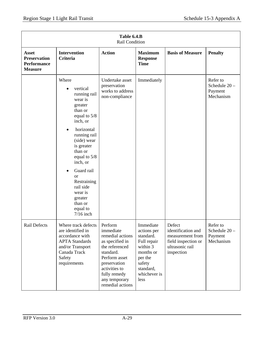|                                                                             | Table 6.4.B<br>Rail Condition                                                                                                                      |                                                                                                                                                                                                   |                                                                                                                                         |                                                                                                          |                                                     |  |
|-----------------------------------------------------------------------------|----------------------------------------------------------------------------------------------------------------------------------------------------|---------------------------------------------------------------------------------------------------------------------------------------------------------------------------------------------------|-----------------------------------------------------------------------------------------------------------------------------------------|----------------------------------------------------------------------------------------------------------|-----------------------------------------------------|--|
| <b>Asset</b><br><b>Preservation</b><br><b>Performance</b><br><b>Measure</b> | <b>Intervention</b><br><b>Criteria</b>                                                                                                             | <b>Action</b>                                                                                                                                                                                     | <b>Maximum</b><br><b>Response</b><br><b>Time</b>                                                                                        | <b>Basis of Measure</b>                                                                                  | <b>Penalty</b>                                      |  |
|                                                                             | Where<br>vertical<br>$\bullet$<br>running rail<br>wear is<br>greater<br>than or<br>equal to 5/8<br>inch, or<br>horizontal<br>$\bullet$             | Undertake asset<br>preservation<br>works to address<br>non-compliance                                                                                                                             | Immediately                                                                                                                             |                                                                                                          | Refer to<br>Schedule $20 -$<br>Payment<br>Mechanism |  |
|                                                                             | running rail<br>(side) wear<br>is greater<br>than or<br>equal to 5/8<br>inch, or                                                                   |                                                                                                                                                                                                   |                                                                                                                                         |                                                                                                          |                                                     |  |
|                                                                             | Guard rail<br><b>or</b><br>Restraining<br>rail side<br>wear is<br>greater<br>than or<br>equal to<br>$7/16$ inch                                    |                                                                                                                                                                                                   |                                                                                                                                         |                                                                                                          |                                                     |  |
| Rail Defects                                                                | Where track defects<br>are identified in<br>accordance with<br><b>APTA</b> Standards<br>and/or Transport<br>Canada Track<br>Safety<br>requirements | Perform<br>immediate<br>remedial actions<br>as specified in<br>the referenced<br>standard.<br>Perform asset<br>preservation<br>activities to<br>fully remedy<br>any temporary<br>remedial actions | Immediate<br>actions per<br>standard.<br>Full repair<br>within 3<br>months or<br>per the<br>safety<br>standard,<br>whichever is<br>less | Defect<br>identification and<br>measurement from<br>field inspection or<br>ultrasonic rail<br>inspection | Refer to<br>Schedule 20-<br>Payment<br>Mechanism    |  |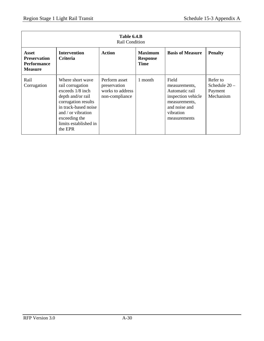| Table 6.4.B<br>Rail Condition                                               |                                                                                                                                                                                                           |                                                                     |                                                  |                                                                                                                               |                                                     |
|-----------------------------------------------------------------------------|-----------------------------------------------------------------------------------------------------------------------------------------------------------------------------------------------------------|---------------------------------------------------------------------|--------------------------------------------------|-------------------------------------------------------------------------------------------------------------------------------|-----------------------------------------------------|
| <b>Asset</b><br><b>Preservation</b><br><b>Performance</b><br><b>Measure</b> | <b>Intervention</b><br><b>Criteria</b>                                                                                                                                                                    | <b>Action</b>                                                       | <b>Maximum</b><br><b>Response</b><br><b>Time</b> | <b>Basis of Measure</b>                                                                                                       | <b>Penalty</b>                                      |
| Rail<br>Corrugation                                                         | Where short wave<br>rail corrugation<br>exceeds $1/8$ inch<br>depth and/or rail<br>corrugation results<br>in track-based noise<br>and / or vibration<br>exceeding the<br>limits established in<br>the EPR | Perform asset<br>preservation<br>works to address<br>non-compliance | 1 month                                          | Field<br>measurements,<br>Automatic rail<br>inspection vehicle<br>measurements,<br>and noise and<br>vibration<br>measurements | Refer to<br>Schedule $20 -$<br>Payment<br>Mechanism |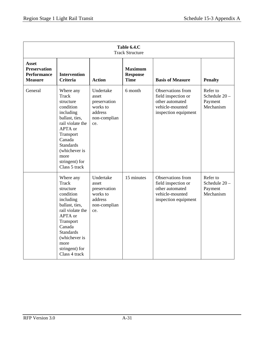| Table 6.4.C<br><b>Track Structure</b>                                       |                                                                                                                                                                                                                          |                                                                                  |                                                  |                                                                                                        |                                                  |
|-----------------------------------------------------------------------------|--------------------------------------------------------------------------------------------------------------------------------------------------------------------------------------------------------------------------|----------------------------------------------------------------------------------|--------------------------------------------------|--------------------------------------------------------------------------------------------------------|--------------------------------------------------|
| <b>Asset</b><br><b>Preservation</b><br><b>Performance</b><br><b>Measure</b> | <b>Intervention</b><br><b>Criteria</b>                                                                                                                                                                                   | <b>Action</b>                                                                    | <b>Maximum</b><br><b>Response</b><br><b>Time</b> | <b>Basis of Measure</b>                                                                                | <b>Penalty</b>                                   |
| General                                                                     | Where any<br>Track<br>structure<br>condition<br>including<br>ballast, ties,<br>rail violate the<br>APTA or<br>Transport<br>Canada<br><b>Standards</b><br>(whichever is<br>more<br>stringent) for<br>Class 5 track        | Undertake<br>asset<br>preservation<br>works to<br>address<br>non-complian<br>ce. | 6 month                                          | Observations from<br>field inspection or<br>other automated<br>vehicle-mounted<br>inspection equipment | Refer to<br>Schedule 20-<br>Payment<br>Mechanism |
|                                                                             | Where any<br><b>Track</b><br>structure<br>condition<br>including<br>ballast, ties,<br>rail violate the<br>APTA or<br>Transport<br>Canada<br><b>Standards</b><br>(whichever is<br>more<br>stringent) for<br>Class 4 track | Undertake<br>asset<br>preservation<br>works to<br>address<br>non-complian<br>ce. | 15 minutes                                       | Observations from<br>field inspection or<br>other automated<br>vehicle-mounted<br>inspection equipment | Refer to<br>Schedule 20-<br>Payment<br>Mechanism |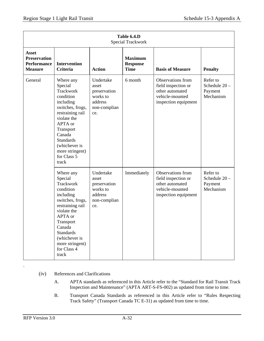| Table 6.4.D<br><b>Special Trackwork</b>                                     |                                                                                                                                                                                                                                      |                                                                                  |                                                  |                                                                                                        |                                                  |
|-----------------------------------------------------------------------------|--------------------------------------------------------------------------------------------------------------------------------------------------------------------------------------------------------------------------------------|----------------------------------------------------------------------------------|--------------------------------------------------|--------------------------------------------------------------------------------------------------------|--------------------------------------------------|
| <b>Asset</b><br><b>Preservation</b><br><b>Performance</b><br><b>Measure</b> | <b>Intervention</b><br><b>Criteria</b>                                                                                                                                                                                               | <b>Action</b>                                                                    | <b>Maximum</b><br><b>Response</b><br><b>Time</b> | <b>Basis of Measure</b>                                                                                | <b>Penalty</b>                                   |
| General                                                                     | Where any<br>Special<br>Trackwork<br>condition<br>including<br>switches, frogs,<br>restraining rail<br>violate the<br>APTA or<br>Transport<br>Canada<br><b>Standards</b><br>(whichever is<br>more stringent)<br>for Class 5<br>track | Undertake<br>asset<br>preservation<br>works to<br>address<br>non-complian<br>ce. | 6 month                                          | Observations from<br>field inspection or<br>other automated<br>vehicle-mounted<br>inspection equipment | Refer to<br>Schedule 20-<br>Payment<br>Mechanism |
|                                                                             | Where any<br>Special<br>Trackwork<br>condition<br>including<br>switches, frogs,<br>restraining rail<br>violate the<br>APTA or<br>Transport<br>Canada<br><b>Standards</b><br>(whichever is<br>more stringent)<br>for Class 4<br>track | Undertake<br>asset<br>preservation<br>works to<br>address<br>non-complian<br>ce. | Immediately                                      | Observations from<br>field inspection or<br>other automated<br>vehicle-mounted<br>inspection equipment | Refer to<br>Schedule 20-<br>Payment<br>Mechanism |

- (iv) References and Clarifications
	- A. APTA standards as referenced in this Article refer to the "Standard for Rail Transit Track Inspection and Maintenance" (APTA ART-S-FS-002) as updated from time to time.
	- B. Transport Canada Standards as referenced in this Article refer to "Rules Respecting Track Safety" (Transport Canada TC E-31) as updated from time to time.

.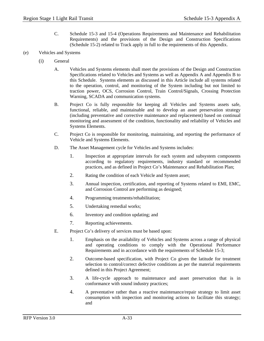- C. Schedule 15-3 and 15-4 (Operations Requirements and Maintenance and Rehabilitation Requirements) and the provisions of the Design and Construction Specifications (Schedule 15-2) related to Track apply in full to the requirements of this Appendix.
- (e) Vehicles and Systems
	- (i) General
		- A. Vehicles and Systems elements shall meet the provisions of the Design and Construction Specifications related to Vehicles and Systems as well as Appendix A and Appendix B to this Schedule. Systems elements as discussed in this Article include all systems related to the operation, control, and monitoring of the System including but not limited to traction power, OCS, Corrosion Control, Train Control/Signals, Crossing Protection Warning, SCADA and communication systems.
		- B. Project Co is fully responsible for keeping all Vehicles and Systems assets safe, functional, reliable, and maintainable and to develop an asset preservation strategy (including preventative and corrective maintenance and replacement) based on continual monitoring and assessment of the condition, functionality and reliability of Vehicles and Systems Elements.
		- C. Project Co is responsible for monitoring, maintaining, and reporting the performance of Vehicle and Systems Elements.
		- D. The Asset Management cycle for Vehicles and Systems includes:
			- 1. Inspection at appropriate intervals for each system and subsystem components according to regulatory requirements, industry standard or recommended practices, and as defined in Project Co's Maintenance and Rehabilitation Plan;
			- 2. Rating the condition of each Vehicle and System asset;
			- 3. Annual inspection, certification, and reporting of Systems related to EMI, EMC, and Corrosion Control are performing as designed;
			- 4. Programming treatments/rehabilitation;
			- 5. Undertaking remedial works;
			- 6. Inventory and condition updating; and
			- 7. Reporting achievements.
		- E. Project Co's delivery of services must be based upon:
			- 1. Emphasis on the availability of Vehicles and Systems across a range of physical and operating conditions to comply with the Operational Performance Requirements and in accordance with the requirements of Schedule 15-3;
			- 2. Outcome-based specification, with Project Co given the latitude for treatment selection to control/correct defective conditions as per the material requirements defined in this Project Agreement;
			- 3. A life-cycle approach to maintenance and asset preservation that is in conformance with sound industry practices;
			- 4. A preventative rather than a reactive maintenance/repair strategy to limit asset consumption with inspection and monitoring actions to facilitate this strategy; and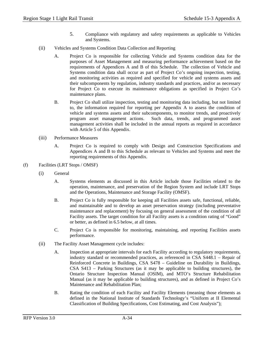- 5. Compliance with regulatory and safety requirements as applicable to Vehicles and Systems.
- (ii) Vehicles and Systems Condition Data Collection and Reporting
	- A. Project Co is responsible for collecting Vehicle and Systems condition data for the purposes of Asset Management and measuring performance achievement based on the requirements of Appendices A and B of this Schedule. The collection of Vehicle and Systems condition data shall occur as part of Project Co's ongoing inspection, testing, and monitoring activities as required and specified for vehicle and systems assets and their subcomponents by regulation, industry standards and practices, and/or as necessary for Project Co to execute its maintenance obligations as specified in Project Co's maintenance plans.
	- B. Project Co shall utilize inspection, testing and monitoring data including, but not limited to, the information required for reporting per Appendix A to assess the condition of vehicle and systems assets and their subcomponents, to monitor trends, and proactively program asset management actions. Such data, trends, and programmed asset management activities shall be included in the annual reports as required in accordance with Article 5 of this Appendix.
- (iii) Performance Measures
	- A. Project Co is required to comply with Design and Construction Specifications and Appendices A and B to this Schedule as relevant to Vehicles and Systems and meet the reporting requirements of this Appendix.
- (f) Facilities (LRT Stops / OMSF)
	- (i) General
		- A. Systems elements as discussed in this Article include those Facilities related to the operation, maintenance, and preservation of the Region System and include LRT Stops and the Operations, Maintenance and Storage Facility (OMSF).
		- B. Project Co is fully responsible for keeping all Facilities assets safe, functional, reliable, and maintainable and to develop an asset preservation strategy (including preventative maintenance and replacement) by focusing on general assessment of the condition of all Facility assets. The target condition for all Facility assets is a condition rating of "Good" or better, as defined in 6.5 below, at all times.
		- C. Project Co is responsible for monitoring, maintaining, and reporting Facilities assets performance.
	- (ii) The Facility Asset Management cycle includes:
		- A. Inspection at appropriate intervals for each Facility according to regulatory requirements, industry standard or recommended practices, as referenced in CSA S448.1 – Repair of Reinforced Concrete in Buildings, CSA S478 – Guideline on Durability in Buildings, CSA S413 – Parking Structures (as it may be applicable to building structures), the Ontario Structure Inspection Manual (OSIM), and MTO's Structure Rehabilitation Manual (as it may be applicable to building structures), and as defined in Project Co's Maintenance and Rehabilitation Plan;
		- B. Rating the condition of each Facility and Facility Elements (meaning those elements as defined in the National Institute of Standards Technology's "Uniform at II Elemental Classification of Building Specifications, Cost Estimating, and Cost Analysis");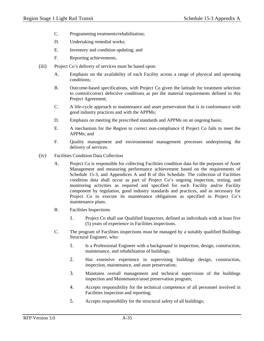- C. Programming treatments/rehabilitation;
- D. Undertaking remedial works;
- E. Inventory and condition updating; and
- F. Reporting achievements.
- (iii) Project Co's delivery of services must be based upon:
	- A. Emphasis on the availability of each Facility across a range of physical and operating conditions;
	- B. Outcome-based specifications, with Project Co given the latitude for treatment selection to control/correct defective conditions as per the material requirements defined in this Project Agreement;
	- C. A life-cycle approach to maintenance and asset preservation that is in conformance with good industry practices and with the APPMs;
	- D. Emphasis on meeting the prescribed standards and APPMs on an ongoing basis;
	- E. A mechanism for the Region to correct non-compliance if Project Co fails to meet the APPMs; and
	- F. Quality management and environmental management processes underpinning the delivery of services.
- (iv) Facilities Condition Data Collection
	- A. Project Co is responsible for collecting Facilities condition data for the purposes of Asset Management and measuring performance achievement based on the requirements of Schedule 15-3, and Appendices A and B of this Schedule. The collection of Facilities condition data shall occur as part of Project Co's ongoing inspection, testing, and monitoring activities as required and specified for each Facility and/or Facility component by regulation, good industry standards and practices, and as necessary for Project Co to execute its maintenance obligations as specified in Project Co's maintenance plans.
	- B. Facilities Inspections
		- 1. Project Co shall use Qualified Inspectors, defined as individuals with at least five (5) years of experience in Facilities inspections.
	- C. The program of Facilities inspections must be managed by a suitably qualified Buildings Structural Engineer, who:
		- 1. Is a Professional Engineer with a background in inspection, design, construction, maintenance, and rehabilitation of buildings;
		- 2. Has extensive experience in supervising buildings design, construction, inspection, maintenance, and asset preservation;
		- 3. Maintains overall management and technical supervision of the buildings inspection and Maintenance/asset preservation program;
		- 4. Accepts responsibility for the technical competence of all personnel involved in Facilities inspection and reporting;
		- 5. Accepts responsibility for the structural safety of all buildings;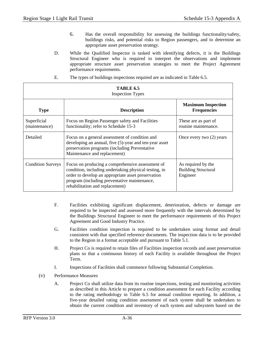- 6. Has the overall responsibility for assessing the buildings functionality/safety, buildings risks, and potential risks to Region passengers, and to determine an appropriate asset preservation strategy.
- D. While the Qualified Inspector is tasked with identifying defects, it is the Buildings Structural Engineer who is required to interpret the observations and implement appropriate structure asset preservation strategies to meet the Project Agreement performance requirements.
- E. The types of buildings inspections required are as indicated in Table 6.5.

| <b>TABLE 6.5</b><br><b>Inspection Types</b> |                                                                                                                                                                                                                                                    |                                                              |  |  |
|---------------------------------------------|----------------------------------------------------------------------------------------------------------------------------------------------------------------------------------------------------------------------------------------------------|--------------------------------------------------------------|--|--|
| <b>Type</b>                                 | <b>Description</b>                                                                                                                                                                                                                                 | <b>Maximum Inspection</b><br><b>Frequencies</b>              |  |  |
| Superficial<br>(maintenance)                | Focus on Region Passenger safety and Facilities<br>functionality; refer to Schedule 15-3                                                                                                                                                           | These are as part of<br>routine maintenance.                 |  |  |
| Detailed                                    | Focus on a general assessment of condition and<br>developing an annual, five (5)-year and ten-year asset<br>preservation programs (including Preventative<br>Maintenance and replacement)                                                          | Once every two $(2)$ years                                   |  |  |
| <b>Condition Surveys</b>                    | Focus on producing a comprehensive assessment of<br>condition, including undertaking physical testing, in<br>order to develop an appropriate asset preservation<br>program (including preventative maintenance,<br>rehabilitation and replacement) | As required by the<br><b>Building Structural</b><br>Engineer |  |  |

- F. Facilities exhibiting significant displacement, deterioration, defects or damage are required to be inspected and assessed more frequently with the intervals determined by the Buildings Structural Engineer to meet the performance requirements of this Project Agreement and Good Industry Practice.
- G. Facilities condition inspection is required to be undertaken using format and detail consistent with that specified reference documents. The inspection data is to be provided to the Region in a format acceptable and pursuant to Table 5.1.
- H. Project Co is required to retain files of Facilities inspection records and asset preservation plans so that a continuous history of each Facility is available throughout the Project Term.
- I. Inspections of Facilities shall commence following Substantial Completion.
- (v) Performance Measures
	- A. Project Co shall utilize data from its routine inspections, testing and monitoring activities as described in this Article to prepare a condition assessment for each Facility according to the rating methodology in Table 6.5 for annual condition reporting. In addition, a five-year detailed rating condition assessment of each system shall be undertaken to obtain the current condition and inventory of each system and subsystem based on the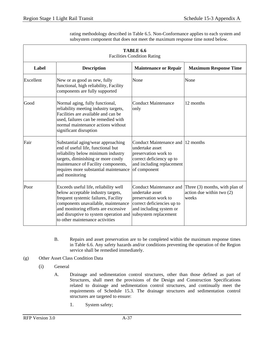rating methodology described in Table 6.5. Non-Conformance applies to each system and subsystem component that does not meet the maximum response time noted below.

|           | <b>TABLE 6.6</b><br><b>Facilities Condition Rating</b>                                                                                                                                                                                                                          |                                                                                                                                                       |                                                                        |  |  |  |
|-----------|---------------------------------------------------------------------------------------------------------------------------------------------------------------------------------------------------------------------------------------------------------------------------------|-------------------------------------------------------------------------------------------------------------------------------------------------------|------------------------------------------------------------------------|--|--|--|
| Label     | <b>Description</b>                                                                                                                                                                                                                                                              | <b>Maintenance or Repair</b>                                                                                                                          | <b>Maximum Response Time</b>                                           |  |  |  |
| Excellent | New or as good as new, fully<br>functional, high reliability, Facility<br>components are fully supported                                                                                                                                                                        | None                                                                                                                                                  | None                                                                   |  |  |  |
| Good      | Normal aging, fully functional,<br>reliability meeting industry targets,<br>Facilities are available and can be<br>used, failures can be remedied with<br>normal maintenance actions without<br>significant disruption                                                          | <b>Conduct Maintenance</b><br>only                                                                                                                    | 12 months                                                              |  |  |  |
| Fair      | Substantial aging/wear approaching<br>end of useful life, functional but<br>reliability below minimum industry<br>targets, diminishing or more costly<br>maintenance of Facility components,<br>requires more substantial maintenance<br>and monitoring                         | Conduct Maintenance and 12 months<br>undertake asset<br>preservation work to<br>correct deficiency up to<br>and including replacement<br>of component |                                                                        |  |  |  |
| Poor      | Exceeds useful life, reliability well<br>below acceptable industry targets,<br>frequent systemic failures, Facility<br>components unavailable, maintenance<br>and monitoring efforts are excessive<br>and disruptive to system operation and<br>to other maintenance activities | Conduct Maintenance and<br>undertake asset<br>preservation work to<br>correct deficiencies up to<br>and including system or<br>subsystem replacement  | Three $(3)$ months, with plan of<br>action due within two (2)<br>weeks |  |  |  |

- B. Repairs and asset preservation are to be completed within the maximum response times in Table 6.6. Any safety hazards and/or conditions preventing the operation of the Region service shall be remedied immediately.
- (g) Other Asset Class Condition Data
	- (i) General
		- A. Drainage and sedimentation control structures, other than those defined as part of Structures, shall meet the provisions of the Design and Construction Specifications related to drainage and sedimentation control structures, and continually meet the requirements of Schedule 15.3. The drainage structures and sedimentation control structures are targeted to ensure:
			- 1. System safety;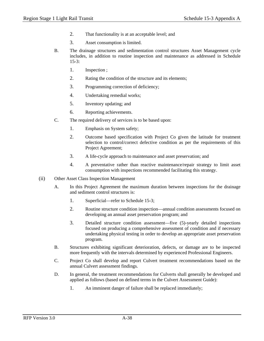- 2. That functionality is at an acceptable level; and
- 3. Asset consumption is limited.
- B. The drainage structures and sedimentation control structures Asset Management cycle includes, in addition to routine inspection and maintenance as addressed in Schedule 15-3:
	- 1. Inspection ;
	- 2. Rating the condition of the structure and its elements;
	- 3. Programming correction of deficiency;
	- 4. Undertaking remedial works;
	- 5. Inventory updating; and
	- 6. Reporting achievements.
- C. The required delivery of services is to be based upon:
	- 1. Emphasis on System safety;
	- 2. Outcome based specification with Project Co given the latitude for treatment selection to control/correct defective condition as per the requirements of this Project Agreement;
	- 3. A life-cycle approach to maintenance and asset preservation; and
	- 4. A preventative rather than reactive maintenance/repair strategy to limit asset consumption with inspections recommended facilitating this strategy.
- (ii) Other Asset Class Inspection Management
	- A. In this Project Agreement the maximum duration between inspections for the drainage and sediment control structures is:
		- 1. Superficial—refer to Schedule 15-3;
		- 2. Routine structure condition inspection—annual condition assessments focused on developing an annual asset preservation program; and
		- 3. Detailed structure condition assessment—five (5)-yearly detailed inspections focused on producing a comprehensive assessment of condition and if necessary undertaking physical testing in order to develop an appropriate asset preservation program.
	- B. Structures exhibiting significant deterioration, defects, or damage are to be inspected more frequently with the intervals determined by experienced Professional Engineers.
	- C. Project Co shall develop and report Culvert treatment recommendations based on the annual Culvert assessment findings.
	- D. In general, the treatment recommendations for Culverts shall generally be developed and applied as follows (based on defined terms in the Culvert Assessment Guide):
		- 1. An imminent danger of failure shall be replaced immediately;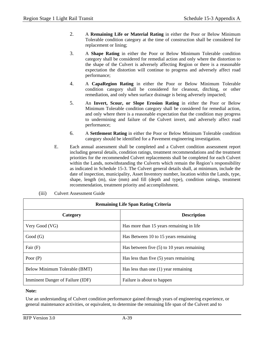- 2. A **Remaining Life or Material Rating** in either the Poor or Below Minimum Tolerable condition category at the time of construction shall be considered for replacement or lining;
- 3. A **Shape Rating** in either the Poor or Below Minimum Tolerable condition category shall be considered for remedial action and only where the distortion to the shape of the Culvert is adversely affecting Region or there is a reasonable expectation the distortion will continue to progress and adversely affect road performance;
- 4. A **CapaRegion Rating** in either the Poor or Below Minimum Tolerable condition category shall be considered for cleanout, ditching, or other remediation, and only when surface drainage is being adversely impacted;
- 5. An **Invert, Scour, or Slope Erosion Rating** in either the Poor or Below Minimum Tolerable condition category shall be considered for remedial action, and only where there is a reasonable expectation that the condition may progress to undermining and failure of the Culvert invert, and adversely affect road performance;
- 6. A **Settlement Rating** in either the Poor or Below Minimum Tolerable condition category should be identified for a Pavement engineering investigation.
- E. Each annual assessment shall be completed and a Culvert condition assessment report including general details, condition ratings, treatment recommendations and the treatment priorities for the recommended Culvert replacements shall be completed for each Culvert within the Lands, notwithstanding the Culverts which remain the Region's responsibility as indicated in Schedule 15-3. The Culvert general details shall, at minimum, include the date of inspection, municipality, Asset Inventory number, location within the Lands, type, shape, length (m), size (mm) and fill (depth and type), condition ratings, treatment recommendation, treatment priority and accomplishment.

| <b>Remaining Life Span Rating Criteria</b> |                                              |  |  |  |  |
|--------------------------------------------|----------------------------------------------|--|--|--|--|
| Category                                   | <b>Description</b>                           |  |  |  |  |
| Very Good (VG)                             | Has more than 15 years remaining in life     |  |  |  |  |
| Good(G)                                    | Has Between 10 to 15 years remaining         |  |  |  |  |
| Fair $(F)$                                 | Has between five $(5)$ to 10 years remaining |  |  |  |  |
| Poor $(P)$                                 | Has less than five $(5)$ years remaining     |  |  |  |  |
| Below Minimum Tolerable (BMT)              | Has less than one $(1)$ year remaining       |  |  |  |  |
| Imminent Danger of Failure (IDF)           | Failure is about to happen                   |  |  |  |  |

(iii) Culvert Assessment Guide

#### **Note:**

Use an understanding of Culvert condition performance gained through years of engineering experience, or general maintenance activities, or equivalent, to determine the remaining life span of the Culvert and to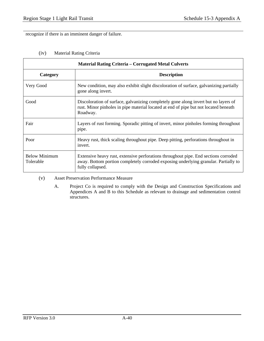recognize if there is an imminent danger of failure.

# (iv) Material Rating Criteria

| <b>Material Rating Criteria – Corrugated Metal Culverts</b> |                                                                                                                                                                                                |  |  |  |  |
|-------------------------------------------------------------|------------------------------------------------------------------------------------------------------------------------------------------------------------------------------------------------|--|--|--|--|
| Category                                                    | <b>Description</b>                                                                                                                                                                             |  |  |  |  |
| Very Good                                                   | New condition, may also exhibit slight discoloration of surface, galvanizing partially<br>gone along invert.                                                                                   |  |  |  |  |
| Good                                                        | Discoloration of surface, galvanizing completely gone along invert but no layers of<br>rust. Minor pinholes in pipe material located at end of pipe but not located beneath<br>Roadway.        |  |  |  |  |
| Fair                                                        | Layers of rust forming. Sporadic pitting of invert, minor pinholes forming throughout<br>pipe.                                                                                                 |  |  |  |  |
| Poor                                                        | Heavy rust, thick scaling throughout pipe. Deep pitting, perforations throughout in<br>invert.                                                                                                 |  |  |  |  |
| <b>Below Minimum</b><br>Tolerable                           | Extensive heavy rust, extensive perforations throughout pipe. End sections corroded<br>away. Bottom portion completely corroded exposing underlying granular. Partially to<br>fully collapsed. |  |  |  |  |

(v) Asset Preservation Performance Measure

A. Project Co is required to comply with the Design and Construction Specifications and Appendices A and B to this Schedule as relevant to drainage and sedimentation control structures.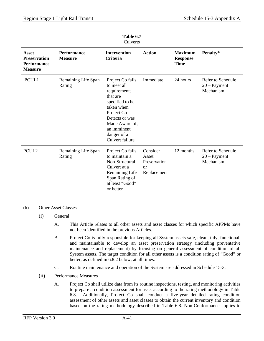| Table 6.7<br>Culverts                                                |                                      |                                                                                                                                                                                                 |                                                                   |                                                  |                                                  |  |  |
|----------------------------------------------------------------------|--------------------------------------|-------------------------------------------------------------------------------------------------------------------------------------------------------------------------------------------------|-------------------------------------------------------------------|--------------------------------------------------|--------------------------------------------------|--|--|
| Asset<br><b>Preservation</b><br><b>Performance</b><br><b>Measure</b> | <b>Performance</b><br><b>Measure</b> | <b>Intervention</b><br><b>Criteria</b>                                                                                                                                                          | <b>Action</b>                                                     | <b>Maximum</b><br><b>Response</b><br><b>Time</b> | Penalty*                                         |  |  |
| PCUL1                                                                | Remaining Life Span<br>Rating        | Project Co fails<br>to meet all<br>requirements<br>that are<br>specified to be<br>taken when<br>Project Co<br>Detects or was<br>Made Aware of,<br>an imminent<br>danger of a<br>Culvert failure | Immediate                                                         | 24 hours                                         | Refer to Schedule<br>$20 - Payment$<br>Mechanism |  |  |
| PCUL <sub>2</sub>                                                    | Remaining Life Span<br>Rating        | Project Co fails<br>to maintain a<br>Non-Structural<br>Culvert at a<br>Remaining Life<br>Span Rating of<br>at least "Good"<br>or better                                                         | Consider<br>Asset<br>Preservation<br><sub>or</sub><br>Replacement | 12 months                                        | Refer to Schedule<br>$20 - Payment$<br>Mechanism |  |  |

## (h) Other Asset Classes

- (i) General
	- A. This Article relates to all other assets and asset classes for which specific APPMs have not been identified in the previous Articles.
	- B. Project Co is fully responsible for keeping all System assets safe, clean, tidy, functional, and maintainable to develop an asset preservation strategy (including preventative maintenance and replacement) by focusing on general assessment of condition of all System assets. The target condition for all other assets is a condition rating of "Good" or better, as defined in 6.8.2 below, at all times.
	- C. Routine maintenance and operation of the System are addressed in Schedule 15-3.
- (ii) Performance Measures
	- A. Project Co shall utilize data from its routine inspections, testing, and monitoring activities to prepare a condition assessment for asset according to the rating methodology in Table 6.8. Additionally, Project Co shall conduct a five-year detailed rating condition assessment of other assets and asset classes to obtain the current inventory and condition based on the rating methodology described in Table 6.8. Non-Conformance applies to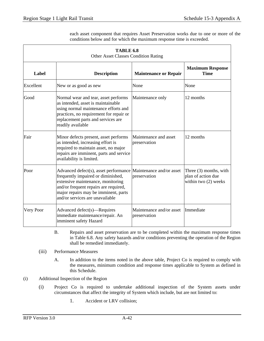each asset component that requires Asset Preservation works due to one or more of the conditions below and for which the maximum response time is exceeded.

| TABLE 6.8<br>Other Asset Classes Condition Rating |                                                                                                                                                                                                                                                               |                                          |                                                                      |  |  |  |  |
|---------------------------------------------------|---------------------------------------------------------------------------------------------------------------------------------------------------------------------------------------------------------------------------------------------------------------|------------------------------------------|----------------------------------------------------------------------|--|--|--|--|
| Label                                             | <b>Description</b><br><b>Maintenance or Repair</b>                                                                                                                                                                                                            |                                          | <b>Maximum Response</b><br><b>Time</b>                               |  |  |  |  |
| Excellent                                         | New or as good as new                                                                                                                                                                                                                                         | None                                     | None                                                                 |  |  |  |  |
| Good                                              | Normal wear and tear, asset performs<br>as intended, asset is maintainable<br>using normal maintenance efforts and<br>practices, no requirement for repair or<br>replacement parts and services are<br>readily available                                      | Maintenance only                         | 12 months                                                            |  |  |  |  |
| Fair                                              | Minor defects present, asset performs<br>as intended, increasing effort is<br>required to maintain asset, no major<br>repairs are imminent, parts and service<br>availability is limited.                                                                     | Maintenance and asset<br>preservation    | 12 months                                                            |  |  |  |  |
| Poor                                              | Advanced defect(s), asset performance Maintenance and/or asset<br>frequently impaired or diminished,<br>extensive maintenance, monitoring<br>and/or frequent repairs are required,<br>major repairs may be imminent, parts<br>and/or services are unavailable | preservation                             | Three (3) months, with<br>plan of action due<br>within two (2) weeks |  |  |  |  |
| Very Poor                                         | Advanced defect(s)—Requires<br>immediate maintenance/repair. An<br>imminent safety Hazard                                                                                                                                                                     | Maintenance and/or asset<br>preservation | Immediate                                                            |  |  |  |  |

- B. Repairs and asset preservation are to be completed within the maximum response times in Table 6.8. Any safety hazards and/or conditions preventing the operation of the Region shall be remedied immediately.
- (iii) Performance Measures
	- A. In addition to the items noted in the above table, Project Co is required to comply with the measures, minimum condition and response times applicable to System as defined in this Schedule.
- (i) Additional Inspection of the Region
	- (i) Project Co is required to undertake additional inspection of the System assets under circumstances that affect the integrity of System which include, but are not limited to:
		- 1. Accident or LRV collision;